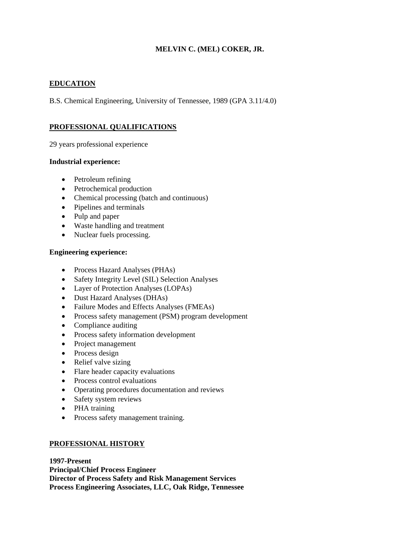# **MELVIN C. (MEL) COKER, JR.**

## **EDUCATION**

B.S. Chemical Engineering, University of Tennessee, 1989 (GPA 3.11/4.0)

## **PROFESSIONAL QUALIFICATIONS**

29 years professional experience

### **Industrial experience:**

- Petroleum refining
- Petrochemical production
- Chemical processing (batch and continuous)
- Pipelines and terminals
- Pulp and paper
- Waste handling and treatment
- Nuclear fuels processing.

## **Engineering experience:**

- Process Hazard Analyses (PHAs)
- Safety Integrity Level (SIL) Selection Analyses
- Layer of Protection Analyses (LOPAs)
- Dust Hazard Analyses (DHAs)
- Failure Modes and Effects Analyses (FMEAs)
- Process safety management (PSM) program development
- Compliance auditing
- Process safety information development
- Project management
- Process design
- Relief valve sizing
- Flare header capacity evaluations
- Process control evaluations
- Operating procedures documentation and reviews
- Safety system reviews
- PHA training
- Process safety management training.

### **PROFESSIONAL HISTORY**

**1997-Present Principal/Chief Process Engineer Director of Process Safety and Risk Management Services Process Engineering Associates, LLC, Oak Ridge, Tennessee**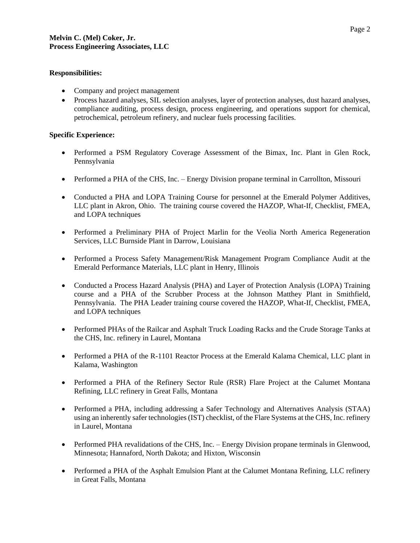### **Responsibilities:**

- Company and project management
- Process hazard analyses, SIL selection analyses, layer of protection analyses, dust hazard analyses, compliance auditing, process design, process engineering, and operations support for chemical, petrochemical, petroleum refinery, and nuclear fuels processing facilities.

## **Specific Experience:**

- Performed a PSM Regulatory Coverage Assessment of the Bimax, Inc. Plant in Glen Rock, Pennsylvania
- Performed a PHA of the CHS, Inc. Energy Division propane terminal in Carrollton, Missouri
- Conducted a PHA and LOPA Training Course for personnel at the Emerald Polymer Additives, LLC plant in Akron, Ohio. The training course covered the HAZOP, What-If, Checklist, FMEA, and LOPA techniques
- Performed a Preliminary PHA of Project Marlin for the Veolia North America Regeneration Services, LLC Burnside Plant in Darrow, Louisiana
- Performed a Process Safety Management/Risk Management Program Compliance Audit at the Emerald Performance Materials, LLC plant in Henry, Illinois
- Conducted a Process Hazard Analysis (PHA) and Layer of Protection Analysis (LOPA) Training course and a PHA of the Scrubber Process at the Johnson Matthey Plant in Smithfield, Pennsylvania. The PHA Leader training course covered the HAZOP, What-If, Checklist, FMEA, and LOPA techniques
- Performed PHAs of the Railcar and Asphalt Truck Loading Racks and the Crude Storage Tanks at the CHS, Inc. refinery in Laurel, Montana
- Performed a PHA of the R-1101 Reactor Process at the Emerald Kalama Chemical, LLC plant in Kalama, Washington
- Performed a PHA of the Refinery Sector Rule (RSR) Flare Project at the Calumet Montana Refining, LLC refinery in Great Falls, Montana
- Performed a PHA, including addressing a Safer Technology and Alternatives Analysis (STAA) using an inherently safer technologies (IST) checklist, of the Flare Systems at the CHS, Inc. refinery in Laurel, Montana
- Performed PHA revalidations of the CHS, Inc. Energy Division propane terminals in Glenwood, Minnesota; Hannaford, North Dakota; and Hixton, Wisconsin
- Performed a PHA of the Asphalt Emulsion Plant at the Calumet Montana Refining, LLC refinery in Great Falls, Montana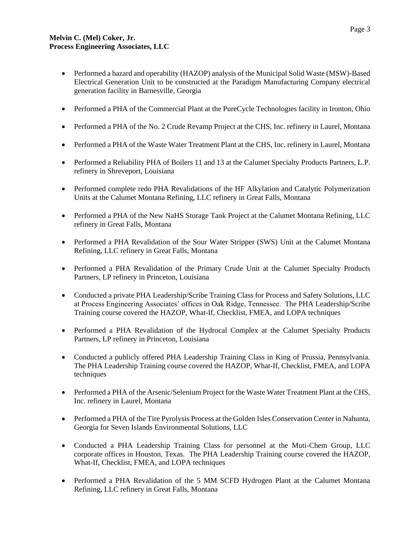- Performed a hazard and operability (HAZOP) analysis of the Municipal Solid Waste (MSW)-Based Electrical Generation Unit to be constructed at the Paradigm Manufacturing Company electrical generation facility in Barnesville, Georgia
- Performed a PHA of the Commercial Plant at the PureCycle Technologies facility in Ironton, Ohio
- Performed a PHA of the No. 2 Crude Revamp Project at the CHS, Inc. refinery in Laurel, Montana
- Performed a PHA of the Waste Water Treatment Plant at the CHS, Inc. refinery in Laurel, Montana
- Performed a Reliability PHA of Boilers 11 and 13 at the Calumet Specialty Products Partners, L.P. refinery in Shreveport, Louisiana
- Performed complete redo PHA Revalidations of the HF Alkylation and Catalytic Polymerization Units at the Calumet Montana Refining, LLC refinery in Great Falls, Montana
- Performed a PHA of the New NaHS Storage Tank Project at the Calumet Montana Refining, LLC refinery in Great Falls, Montana
- Performed a PHA Revalidation of the Sour Water Stripper (SWS) Unit at the Calumet Montana Refining, LLC refinery in Great Falls, Montana
- Performed a PHA Revalidation of the Primary Crude Unit at the Calumet Specialty Products Partners, LP refinery in Princeton, Louisiana
- Conducted a private PHA Leadership/Scribe Training Class for Process and Safety Solutions, LLC at Process Engineering Associates' offices in Oak Ridge, Tennessee. The PHA Leadership/Scribe Training course covered the HAZOP, What-If, Checklist, FMEA, and LOPA techniques
- Performed a PHA Revalidation of the Hydrocal Complex at the Calumet Specialty Products Partners, LP refinery in Princeton, Louisiana
- Conducted a publicly offered PHA Leadership Training Class in King of Prussia, Pennsylvania. The PHA Leadership Training course covered the HAZOP, What-If, Checklist, FMEA, and LOPA techniques
- Performed a PHA of the Arsenic/Selenium Project for the Waste Water Treatment Plant at the CHS, Inc. refinery in Laurel, Montana
- Performed a PHA of the Tire Pyrolysis Process at the Golden Isles Conservation Center in Nahunta, Georgia for Seven Islands Environmental Solutions, LLC
- Conducted a PHA Leadership Training Class for personnel at the Muti-Chem Group, LLC corporate offices in Houston, Texas. The PHA Leadership Training course covered the HAZOP, What-If, Checklist, FMEA, and LOPA techniques
- Performed a PHA Revalidation of the 5 MM SCFD Hydrogen Plant at the Calumet Montana Refining, LLC refinery in Great Falls, Montana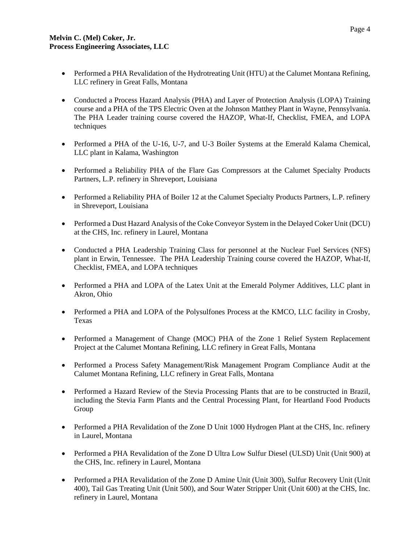- Performed a PHA Revalidation of the Hydrotreating Unit (HTU) at the Calumet Montana Refining, LLC refinery in Great Falls, Montana
- Conducted a Process Hazard Analysis (PHA) and Layer of Protection Analysis (LOPA) Training course and a PHA of the TPS Electric Oven at the Johnson Matthey Plant in Wayne, Pennsylvania. The PHA Leader training course covered the HAZOP, What-If, Checklist, FMEA, and LOPA techniques
- Performed a PHA of the U-16, U-7, and U-3 Boiler Systems at the Emerald Kalama Chemical, LLC plant in Kalama, Washington
- Performed a Reliability PHA of the Flare Gas Compressors at the Calumet Specialty Products Partners, L.P. refinery in Shreveport, Louisiana
- Performed a Reliability PHA of Boiler 12 at the Calumet Specialty Products Partners, L.P. refinery in Shreveport, Louisiana
- Performed a Dust Hazard Analysis of the Coke Conveyor System in the Delayed Coker Unit (DCU) at the CHS, Inc. refinery in Laurel, Montana
- Conducted a PHA Leadership Training Class for personnel at the Nuclear Fuel Services (NFS) plant in Erwin, Tennessee. The PHA Leadership Training course covered the HAZOP, What-If, Checklist, FMEA, and LOPA techniques
- Performed a PHA and LOPA of the Latex Unit at the Emerald Polymer Additives, LLC plant in Akron, Ohio
- Performed a PHA and LOPA of the Polysulfones Process at the KMCO, LLC facility in Crosby, Texas
- Performed a Management of Change (MOC) PHA of the Zone 1 Relief System Replacement Project at the Calumet Montana Refining, LLC refinery in Great Falls, Montana
- Performed a Process Safety Management/Risk Management Program Compliance Audit at the Calumet Montana Refining, LLC refinery in Great Falls, Montana
- Performed a Hazard Review of the Stevia Processing Plants that are to be constructed in Brazil, including the Stevia Farm Plants and the Central Processing Plant, for Heartland Food Products Group
- Performed a PHA Revalidation of the Zone D Unit 1000 Hydrogen Plant at the CHS, Inc. refinery in Laurel, Montana
- Performed a PHA Revalidation of the Zone D Ultra Low Sulfur Diesel (ULSD) Unit (Unit 900) at the CHS, Inc. refinery in Laurel, Montana
- Performed a PHA Revalidation of the Zone D Amine Unit (Unit 300), Sulfur Recovery Unit (Unit 400), Tail Gas Treating Unit (Unit 500), and Sour Water Stripper Unit (Unit 600) at the CHS, Inc. refinery in Laurel, Montana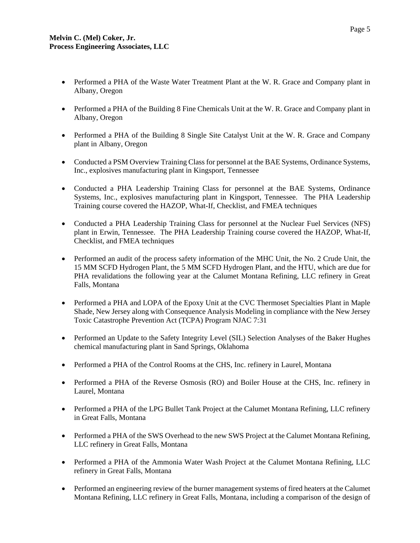- Performed a PHA of the Waste Water Treatment Plant at the W. R. Grace and Company plant in Albany, Oregon
- Performed a PHA of the Building 8 Fine Chemicals Unit at the W. R. Grace and Company plant in Albany, Oregon
- Performed a PHA of the Building 8 Single Site Catalyst Unit at the W. R. Grace and Company plant in Albany, Oregon
- Conducted a PSM Overview Training Class for personnel at the BAE Systems, Ordinance Systems, Inc., explosives manufacturing plant in Kingsport, Tennessee
- Conducted a PHA Leadership Training Class for personnel at the BAE Systems, Ordinance Systems, Inc., explosives manufacturing plant in Kingsport, Tennessee. The PHA Leadership Training course covered the HAZOP, What-If, Checklist, and FMEA techniques
- Conducted a PHA Leadership Training Class for personnel at the Nuclear Fuel Services (NFS) plant in Erwin, Tennessee. The PHA Leadership Training course covered the HAZOP, What-If, Checklist, and FMEA techniques
- Performed an audit of the process safety information of the MHC Unit, the No. 2 Crude Unit, the 15 MM SCFD Hydrogen Plant, the 5 MM SCFD Hydrogen Plant, and the HTU, which are due for PHA revalidations the following year at the Calumet Montana Refining, LLC refinery in Great Falls, Montana
- Performed a PHA and LOPA of the Epoxy Unit at the CVC Thermoset Specialties Plant in Maple Shade, New Jersey along with Consequence Analysis Modeling in compliance with the New Jersey Toxic Catastrophe Prevention Act (TCPA) Program NJAC 7:31
- Performed an Update to the Safety Integrity Level (SIL) Selection Analyses of the Baker Hughes chemical manufacturing plant in Sand Springs, Oklahoma
- Performed a PHA of the Control Rooms at the CHS, Inc. refinery in Laurel, Montana
- Performed a PHA of the Reverse Osmosis (RO) and Boiler House at the CHS, Inc. refinery in Laurel, Montana
- Performed a PHA of the LPG Bullet Tank Project at the Calumet Montana Refining, LLC refinery in Great Falls, Montana
- Performed a PHA of the SWS Overhead to the new SWS Project at the Calumet Montana Refining, LLC refinery in Great Falls, Montana
- Performed a PHA of the Ammonia Water Wash Project at the Calumet Montana Refining, LLC refinery in Great Falls, Montana
- Performed an engineering review of the burner management systems of fired heaters at the Calumet Montana Refining, LLC refinery in Great Falls, Montana, including a comparison of the design of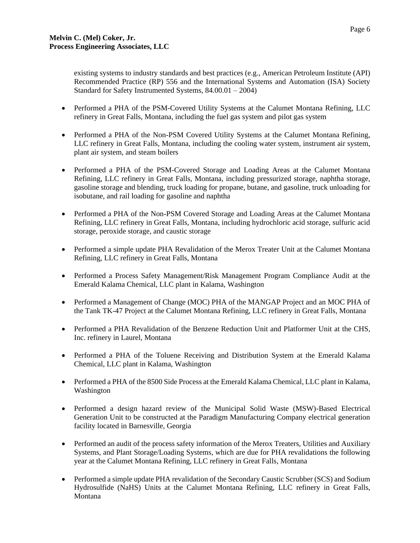existing systems to industry standards and best practices (e.g., American Petroleum Institute (API) Recommended Practice (RP) 556 and the International Systems and Automation (ISA) Society Standard for Safety Instrumented Systems, 84.00.01 – 2004)

- Performed a PHA of the PSM-Covered Utility Systems at the Calumet Montana Refining, LLC refinery in Great Falls, Montana, including the fuel gas system and pilot gas system
- Performed a PHA of the Non-PSM Covered Utility Systems at the Calumet Montana Refining, LLC refinery in Great Falls, Montana, including the cooling water system, instrument air system, plant air system, and steam boilers
- Performed a PHA of the PSM-Covered Storage and Loading Areas at the Calumet Montana Refining, LLC refinery in Great Falls, Montana, including pressurized storage, naphtha storage, gasoline storage and blending, truck loading for propane, butane, and gasoline, truck unloading for isobutane, and rail loading for gasoline and naphtha
- Performed a PHA of the Non-PSM Covered Storage and Loading Areas at the Calumet Montana Refining, LLC refinery in Great Falls, Montana, including hydrochloric acid storage, sulfuric acid storage, peroxide storage, and caustic storage
- Performed a simple update PHA Revalidation of the Merox Treater Unit at the Calumet Montana Refining, LLC refinery in Great Falls, Montana
- Performed a Process Safety Management/Risk Management Program Compliance Audit at the Emerald Kalama Chemical, LLC plant in Kalama, Washington
- Performed a Management of Change (MOC) PHA of the MANGAP Project and an MOC PHA of the Tank TK-47 Project at the Calumet Montana Refining, LLC refinery in Great Falls, Montana
- Performed a PHA Revalidation of the Benzene Reduction Unit and Platformer Unit at the CHS, Inc. refinery in Laurel, Montana
- Performed a PHA of the Toluene Receiving and Distribution System at the Emerald Kalama Chemical, LLC plant in Kalama, Washington
- Performed a PHA of the 8500 Side Process at the Emerald Kalama Chemical, LLC plant in Kalama, Washington
- Performed a design hazard review of the Municipal Solid Waste (MSW)-Based Electrical Generation Unit to be constructed at the Paradigm Manufacturing Company electrical generation facility located in Barnesville, Georgia
- Performed an audit of the process safety information of the Merox Treaters, Utilities and Auxiliary Systems, and Plant Storage/Loading Systems, which are due for PHA revalidations the following year at the Calumet Montana Refining, LLC refinery in Great Falls, Montana
- Performed a simple update PHA revalidation of the Secondary Caustic Scrubber (SCS) and Sodium Hydrosulfide (NaHS) Units at the Calumet Montana Refining, LLC refinery in Great Falls, Montana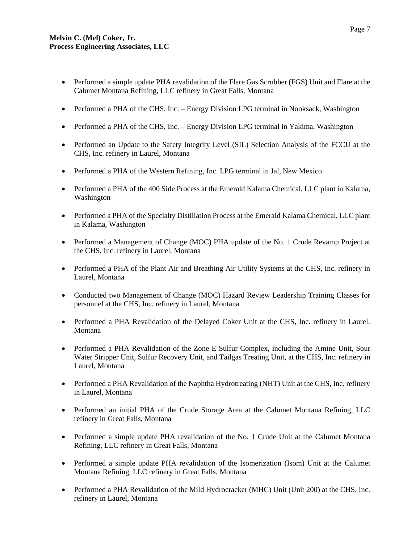- Performed a simple update PHA revalidation of the Flare Gas Scrubber (FGS) Unit and Flare at the Calumet Montana Refining, LLC refinery in Great Falls, Montana
- Performed a PHA of the CHS, Inc. Energy Division LPG terminal in Nooksack, Washington
- Performed a PHA of the CHS, Inc. Energy Division LPG terminal in Yakima, Washington
- Performed an Update to the Safety Integrity Level (SIL) Selection Analysis of the FCCU at the CHS, Inc. refinery in Laurel, Montana
- Performed a PHA of the Western Refining, Inc. LPG terminal in Jal, New Mexico
- Performed a PHA of the 400 Side Process at the Emerald Kalama Chemical, LLC plant in Kalama, Washington
- Performed a PHA of the Specialty Distillation Process at the Emerald Kalama Chemical, LLC plant in Kalama, Washington
- Performed a Management of Change (MOC) PHA update of the No. 1 Crude Revamp Project at the CHS, Inc. refinery in Laurel, Montana
- Performed a PHA of the Plant Air and Breathing Air Utility Systems at the CHS, Inc. refinery in Laurel, Montana
- Conducted two Management of Change (MOC) Hazard Review Leadership Training Classes for personnel at the CHS, Inc. refinery in Laurel, Montana
- Performed a PHA Revalidation of the Delayed Coker Unit at the CHS, Inc. refinery in Laurel, Montana
- Performed a PHA Revalidation of the Zone E Sulfur Complex, including the Amine Unit, Sour Water Stripper Unit, Sulfur Recovery Unit, and Tailgas Treating Unit, at the CHS, Inc. refinery in Laurel, Montana
- Performed a PHA Revalidation of the Naphtha Hydrotreating (NHT) Unit at the CHS, Inc. refinery in Laurel, Montana
- Performed an initial PHA of the Crude Storage Area at the Calumet Montana Refining, LLC refinery in Great Falls, Montana
- Performed a simple update PHA revalidation of the No. 1 Crude Unit at the Calumet Montana Refining, LLC refinery in Great Falls, Montana
- Performed a simple update PHA revalidation of the Isomerization (Isom) Unit at the Calumet Montana Refining, LLC refinery in Great Falls, Montana
- Performed a PHA Revalidation of the Mild Hydrocracker (MHC) Unit (Unit 200) at the CHS, Inc. refinery in Laurel, Montana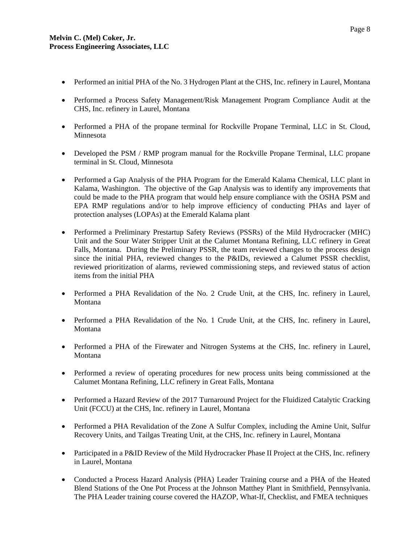- Performed an initial PHA of the No. 3 Hydrogen Plant at the CHS, Inc. refinery in Laurel, Montana
- Performed a Process Safety Management/Risk Management Program Compliance Audit at the CHS, Inc. refinery in Laurel, Montana
- Performed a PHA of the propane terminal for Rockville Propane Terminal, LLC in St. Cloud, Minnesota
- Developed the PSM / RMP program manual for the Rockville Propane Terminal, LLC propane terminal in St. Cloud, Minnesota
- Performed a Gap Analysis of the PHA Program for the Emerald Kalama Chemical, LLC plant in Kalama, Washington. The objective of the Gap Analysis was to identify any improvements that could be made to the PHA program that would help ensure compliance with the OSHA PSM and EPA RMP regulations and/or to help improve efficiency of conducting PHAs and layer of protection analyses (LOPAs) at the Emerald Kalama plant
- Performed a Preliminary Prestartup Safety Reviews (PSSRs) of the Mild Hydrocracker (MHC) Unit and the Sour Water Stripper Unit at the Calumet Montana Refining, LLC refinery in Great Falls, Montana. During the Preliminary PSSR, the team reviewed changes to the process design since the initial PHA, reviewed changes to the P&IDs, reviewed a Calumet PSSR checklist, reviewed prioritization of alarms, reviewed commissioning steps, and reviewed status of action items from the initial PHA
- Performed a PHA Revalidation of the No. 2 Crude Unit, at the CHS, Inc. refinery in Laurel, Montana
- Performed a PHA Revalidation of the No. 1 Crude Unit, at the CHS, Inc. refinery in Laurel, Montana
- Performed a PHA of the Firewater and Nitrogen Systems at the CHS, Inc. refinery in Laurel, Montana
- Performed a review of operating procedures for new process units being commissioned at the Calumet Montana Refining, LLC refinery in Great Falls, Montana
- Performed a Hazard Review of the 2017 Turnaround Project for the Fluidized Catalytic Cracking Unit (FCCU) at the CHS, Inc. refinery in Laurel, Montana
- Performed a PHA Revalidation of the Zone A Sulfur Complex, including the Amine Unit, Sulfur Recovery Units, and Tailgas Treating Unit, at the CHS, Inc. refinery in Laurel, Montana
- Participated in a P&ID Review of the Mild Hydrocracker Phase II Project at the CHS, Inc. refinery in Laurel, Montana
- Conducted a Process Hazard Analysis (PHA) Leader Training course and a PHA of the Heated Blend Stations of the One Pot Process at the Johnson Matthey Plant in Smithfield, Pennsylvania. The PHA Leader training course covered the HAZOP, What-If, Checklist, and FMEA techniques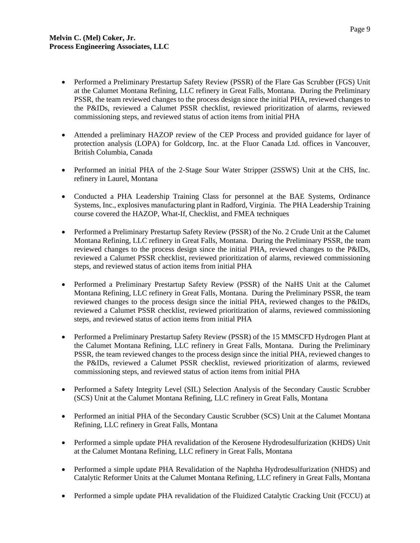- Performed a Preliminary Prestartup Safety Review (PSSR) of the Flare Gas Scrubber (FGS) Unit at the Calumet Montana Refining, LLC refinery in Great Falls, Montana. During the Preliminary PSSR, the team reviewed changes to the process design since the initial PHA, reviewed changes to the P&IDs, reviewed a Calumet PSSR checklist, reviewed prioritization of alarms, reviewed commissioning steps, and reviewed status of action items from initial PHA
- Attended a preliminary HAZOP review of the CEP Process and provided guidance for layer of protection analysis (LOPA) for Goldcorp, Inc. at the Fluor Canada Ltd. offices in Vancouver, British Columbia, Canada
- Performed an initial PHA of the 2-Stage Sour Water Stripper (2SSWS) Unit at the CHS, Inc. refinery in Laurel, Montana
- Conducted a PHA Leadership Training Class for personnel at the BAE Systems, Ordinance Systems, Inc., explosives manufacturing plant in Radford, Virginia. The PHA Leadership Training course covered the HAZOP, What-If, Checklist, and FMEA techniques
- Performed a Preliminary Prestartup Safety Review (PSSR) of the No. 2 Crude Unit at the Calumet Montana Refining, LLC refinery in Great Falls, Montana. During the Preliminary PSSR, the team reviewed changes to the process design since the initial PHA, reviewed changes to the P&IDs, reviewed a Calumet PSSR checklist, reviewed prioritization of alarms, reviewed commissioning steps, and reviewed status of action items from initial PHA
- Performed a Preliminary Prestartup Safety Review (PSSR) of the NaHS Unit at the Calumet Montana Refining, LLC refinery in Great Falls, Montana. During the Preliminary PSSR, the team reviewed changes to the process design since the initial PHA, reviewed changes to the P&IDs, reviewed a Calumet PSSR checklist, reviewed prioritization of alarms, reviewed commissioning steps, and reviewed status of action items from initial PHA
- Performed a Preliminary Prestartup Safety Review (PSSR) of the 15 MMSCFD Hydrogen Plant at the Calumet Montana Refining, LLC refinery in Great Falls, Montana. During the Preliminary PSSR, the team reviewed changes to the process design since the initial PHA, reviewed changes to the P&IDs, reviewed a Calumet PSSR checklist, reviewed prioritization of alarms, reviewed commissioning steps, and reviewed status of action items from initial PHA
- Performed a Safety Integrity Level (SIL) Selection Analysis of the Secondary Caustic Scrubber (SCS) Unit at the Calumet Montana Refining, LLC refinery in Great Falls, Montana
- Performed an initial PHA of the Secondary Caustic Scrubber (SCS) Unit at the Calumet Montana Refining, LLC refinery in Great Falls, Montana
- Performed a simple update PHA revalidation of the Kerosene Hydrodesulfurization (KHDS) Unit at the Calumet Montana Refining, LLC refinery in Great Falls, Montana
- Performed a simple update PHA Revalidation of the Naphtha Hydrodesulfurization (NHDS) and Catalytic Reformer Units at the Calumet Montana Refining, LLC refinery in Great Falls, Montana
- Performed a simple update PHA revalidation of the Fluidized Catalytic Cracking Unit (FCCU) at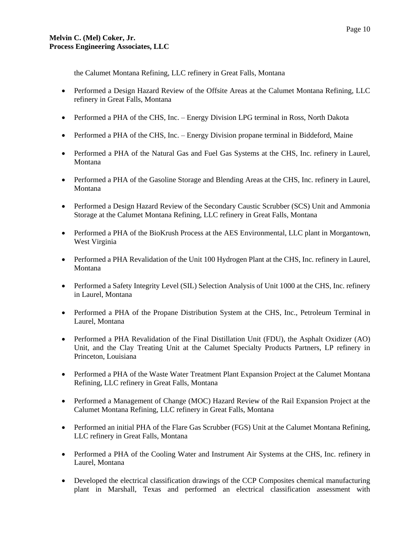the Calumet Montana Refining, LLC refinery in Great Falls, Montana

- Performed a Design Hazard Review of the Offsite Areas at the Calumet Montana Refining, LLC refinery in Great Falls, Montana
- Performed a PHA of the CHS, Inc. Energy Division LPG terminal in Ross, North Dakota
- Performed a PHA of the CHS, Inc. Energy Division propane terminal in Biddeford, Maine
- Performed a PHA of the Natural Gas and Fuel Gas Systems at the CHS, Inc. refinery in Laurel, Montana
- Performed a PHA of the Gasoline Storage and Blending Areas at the CHS, Inc. refinery in Laurel, Montana
- Performed a Design Hazard Review of the Secondary Caustic Scrubber (SCS) Unit and Ammonia Storage at the Calumet Montana Refining, LLC refinery in Great Falls, Montana
- Performed a PHA of the BioKrush Process at the AES Environmental, LLC plant in Morgantown, West Virginia
- Performed a PHA Revalidation of the Unit 100 Hydrogen Plant at the CHS, Inc. refinery in Laurel, Montana
- Performed a Safety Integrity Level (SIL) Selection Analysis of Unit 1000 at the CHS, Inc. refinery in Laurel, Montana
- Performed a PHA of the Propane Distribution System at the CHS, Inc., Petroleum Terminal in Laurel, Montana
- Performed a PHA Revalidation of the Final Distillation Unit (FDU), the Asphalt Oxidizer (AO) Unit, and the Clay Treating Unit at the Calumet Specialty Products Partners, LP refinery in Princeton, Louisiana
- Performed a PHA of the Waste Water Treatment Plant Expansion Project at the Calumet Montana Refining, LLC refinery in Great Falls, Montana
- Performed a Management of Change (MOC) Hazard Review of the Rail Expansion Project at the Calumet Montana Refining, LLC refinery in Great Falls, Montana
- Performed an initial PHA of the Flare Gas Scrubber (FGS) Unit at the Calumet Montana Refining, LLC refinery in Great Falls, Montana
- Performed a PHA of the Cooling Water and Instrument Air Systems at the CHS, Inc. refinery in Laurel, Montana
- Developed the electrical classification drawings of the CCP Composites chemical manufacturing plant in Marshall, Texas and performed an electrical classification assessment with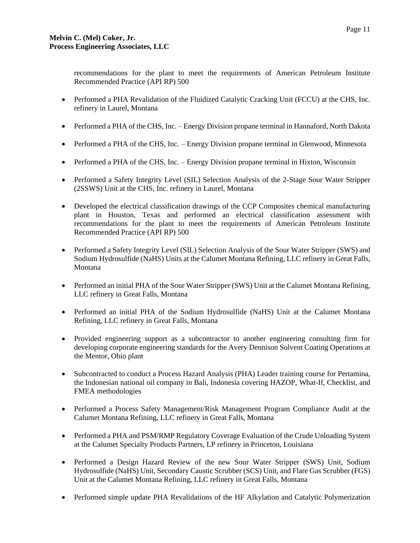recommendations for the plant to meet the requirements of American Petroleum Institute Recommended Practice (API RP) 500

- Performed a PHA Revalidation of the Fluidized Catalytic Cracking Unit (FCCU) at the CHS, Inc. refinery in Laurel, Montana
- Performed a PHA of the CHS, Inc. Energy Division propane terminal in Hannaford, North Dakota
- Performed a PHA of the CHS, Inc. Energy Division propane terminal in Glenwood, Minnesota
- Performed a PHA of the CHS, Inc. Energy Division propane terminal in Hixton, Wisconsin
- Performed a Safety Integrity Level (SIL) Selection Analysis of the 2-Stage Sour Water Stripper (2SSWS) Unit at the CHS, Inc. refinery in Laurel, Montana
- Developed the electrical classification drawings of the CCP Composites chemical manufacturing plant in Houston, Texas and performed an electrical classification assessment with recommendations for the plant to meet the requirements of American Petroleum Institute Recommended Practice (API RP) 500
- Performed a Safety Integrity Level (SIL) Selection Analysis of the Sour Water Stripper (SWS) and Sodium Hydrosulfide (NaHS) Units at the Calumet Montana Refining, LLC refinery in Great Falls, Montana
- Performed an initial PHA of the Sour Water Stripper (SWS) Unit at the Calumet Montana Refining, LLC refinery in Great Falls, Montana
- Performed an initial PHA of the Sodium Hydrosulfide (NaHS) Unit at the Calumet Montana Refining, LLC refinery in Great Falls, Montana
- Provided engineering support as a subcontractor to another engineering consulting firm for developing corporate engineering standards for the Avery Dennison Solvent Coating Operations at the Mentor, Ohio plant
- Subcontracted to conduct a Process Hazard Analysis (PHA) Leader training course for Pertamina, the Indonesian national oil company in Bali, Indonesia covering HAZOP, What-If, Checklist, and FMEA methodologies
- Performed a Process Safety Management/Risk Management Program Compliance Audit at the Calumet Montana Refining, LLC refinery in Great Falls, Montana
- Performed a PHA and PSM/RMP Regulatory Coverage Evaluation of the Crude Unloading System at the Calumet Specialty Products Partners, LP refinery in Princeton, Louisiana
- Performed a Design Hazard Review of the new Sour Water Stripper (SWS) Unit, Sodium Hydrosulfide (NaHS) Unit, Secondary Caustic Scrubber (SCS) Unit, and Flare Gas Scrubber (FGS) Unit at the Calumet Montana Refining, LLC refinery in Great Falls, Montana
- Performed simple update PHA Revalidations of the HF Alkylation and Catalytic Polymerization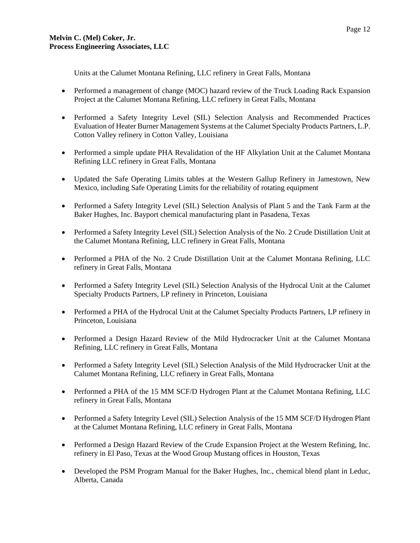Units at the Calumet Montana Refining, LLC refinery in Great Falls, Montana

- Performed a management of change (MOC) hazard review of the Truck Loading Rack Expansion Project at the Calumet Montana Refining, LLC refinery in Great Falls, Montana
- Performed a Safety Integrity Level (SIL) Selection Analysis and Recommended Practices Evaluation of Heater Burner Management Systems at the Calumet Specialty Products Partners, L.P. Cotton Valley refinery in Cotton Valley, Louisiana
- Performed a simple update PHA Revalidation of the HF Alkylation Unit at the Calumet Montana Refining LLC refinery in Great Falls, Montana
- Updated the Safe Operating Limits tables at the Western Gallup Refinery in Jamestown, New Mexico, including Safe Operating Limits for the reliability of rotating equipment
- Performed a Safety Integrity Level (SIL) Selection Analysis of Plant 5 and the Tank Farm at the Baker Hughes, Inc. Bayport chemical manufacturing plant in Pasadena, Texas
- Performed a Safety Integrity Level (SIL) Selection Analysis of the No. 2 Crude Distillation Unit at the Calumet Montana Refining, LLC refinery in Great Falls, Montana
- Performed a PHA of the No. 2 Crude Distillation Unit at the Calumet Montana Refining, LLC refinery in Great Falls, Montana
- Performed a Safety Integrity Level (SIL) Selection Analysis of the Hydrocal Unit at the Calumet Specialty Products Partners, LP refinery in Princeton, Louisiana
- Performed a PHA of the Hydrocal Unit at the Calumet Specialty Products Partners, LP refinery in Princeton, Louisiana
- Performed a Design Hazard Review of the Mild Hydrocracker Unit at the Calumet Montana Refining, LLC refinery in Great Falls, Montana
- Performed a Safety Integrity Level (SIL) Selection Analysis of the Mild Hydrocracker Unit at the Calumet Montana Refining, LLC refinery in Great Falls, Montana
- Performed a PHA of the 15 MM SCF/D Hydrogen Plant at the Calumet Montana Refining, LLC refinery in Great Falls, Montana
- Performed a Safety Integrity Level (SIL) Selection Analysis of the 15 MM SCF/D Hydrogen Plant at the Calumet Montana Refining, LLC refinery in Great Falls, Montana
- Performed a Design Hazard Review of the Crude Expansion Project at the Western Refining, Inc. refinery in El Paso, Texas at the Wood Group Mustang offices in Houston, Texas
- Developed the PSM Program Manual for the Baker Hughes, Inc., chemical blend plant in Leduc, Alberta, Canada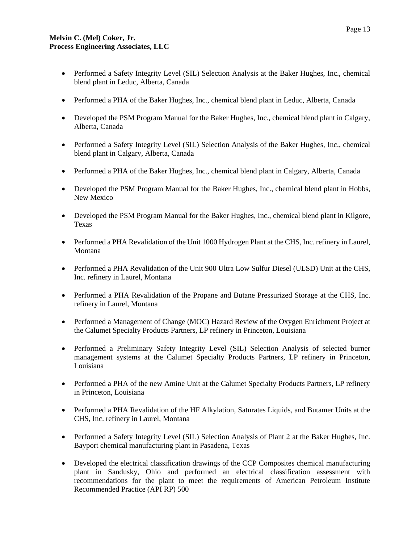- Performed a Safety Integrity Level (SIL) Selection Analysis at the Baker Hughes, Inc., chemical blend plant in Leduc, Alberta, Canada
- Performed a PHA of the Baker Hughes, Inc., chemical blend plant in Leduc, Alberta, Canada
- Developed the PSM Program Manual for the Baker Hughes, Inc., chemical blend plant in Calgary, Alberta, Canada
- Performed a Safety Integrity Level (SIL) Selection Analysis of the Baker Hughes, Inc., chemical blend plant in Calgary, Alberta, Canada
- Performed a PHA of the Baker Hughes, Inc., chemical blend plant in Calgary, Alberta, Canada
- Developed the PSM Program Manual for the Baker Hughes, Inc., chemical blend plant in Hobbs, New Mexico
- Developed the PSM Program Manual for the Baker Hughes, Inc., chemical blend plant in Kilgore, Texas
- Performed a PHA Revalidation of the Unit 1000 Hydrogen Plant at the CHS, Inc. refinery in Laurel, Montana
- Performed a PHA Revalidation of the Unit 900 Ultra Low Sulfur Diesel (ULSD) Unit at the CHS, Inc. refinery in Laurel, Montana
- Performed a PHA Revalidation of the Propane and Butane Pressurized Storage at the CHS, Inc. refinery in Laurel, Montana
- Performed a Management of Change (MOC) Hazard Review of the Oxygen Enrichment Project at the Calumet Specialty Products Partners, LP refinery in Princeton, Louisiana
- Performed a Preliminary Safety Integrity Level (SIL) Selection Analysis of selected burner management systems at the Calumet Specialty Products Partners, LP refinery in Princeton, Louisiana
- Performed a PHA of the new Amine Unit at the Calumet Specialty Products Partners, LP refinery in Princeton, Louisiana
- Performed a PHA Revalidation of the HF Alkylation, Saturates Liquids, and Butamer Units at the CHS, Inc. refinery in Laurel, Montana
- Performed a Safety Integrity Level (SIL) Selection Analysis of Plant 2 at the Baker Hughes, Inc. Bayport chemical manufacturing plant in Pasadena, Texas
- Developed the electrical classification drawings of the CCP Composites chemical manufacturing plant in Sandusky, Ohio and performed an electrical classification assessment with recommendations for the plant to meet the requirements of American Petroleum Institute Recommended Practice (API RP) 500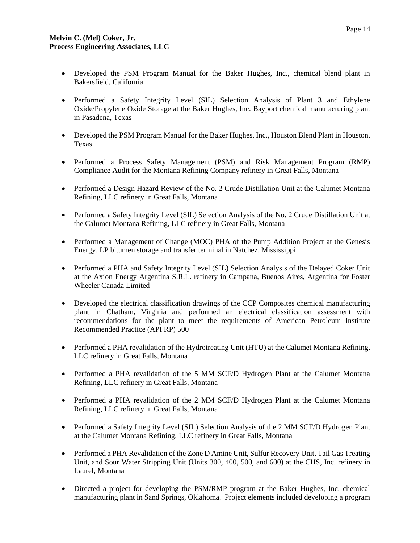- Developed the PSM Program Manual for the Baker Hughes, Inc., chemical blend plant in Bakersfield, California
- Performed a Safety Integrity Level (SIL) Selection Analysis of Plant 3 and Ethylene Oxide/Propylene Oxide Storage at the Baker Hughes, Inc. Bayport chemical manufacturing plant in Pasadena, Texas
- Developed the PSM Program Manual for the Baker Hughes, Inc., Houston Blend Plant in Houston, Texas
- Performed a Process Safety Management (PSM) and Risk Management Program (RMP) Compliance Audit for the Montana Refining Company refinery in Great Falls, Montana
- Performed a Design Hazard Review of the No. 2 Crude Distillation Unit at the Calumet Montana Refining, LLC refinery in Great Falls, Montana
- Performed a Safety Integrity Level (SIL) Selection Analysis of the No. 2 Crude Distillation Unit at the Calumet Montana Refining, LLC refinery in Great Falls, Montana
- Performed a Management of Change (MOC) PHA of the Pump Addition Project at the Genesis Energy, LP bitumen storage and transfer terminal in Natchez, Mississippi
- Performed a PHA and Safety Integrity Level (SIL) Selection Analysis of the Delayed Coker Unit at the Axion Energy Argentina S.R.L. refinery in Campana, Buenos Aires, Argentina for Foster Wheeler Canada Limited
- Developed the electrical classification drawings of the CCP Composites chemical manufacturing plant in Chatham, Virginia and performed an electrical classification assessment with recommendations for the plant to meet the requirements of American Petroleum Institute Recommended Practice (API RP) 500
- Performed a PHA revalidation of the Hydrotreating Unit (HTU) at the Calumet Montana Refining, LLC refinery in Great Falls, Montana
- Performed a PHA revalidation of the 5 MM SCF/D Hydrogen Plant at the Calumet Montana Refining, LLC refinery in Great Falls, Montana
- Performed a PHA revalidation of the 2 MM SCF/D Hydrogen Plant at the Calumet Montana Refining, LLC refinery in Great Falls, Montana
- Performed a Safety Integrity Level (SIL) Selection Analysis of the 2 MM SCF/D Hydrogen Plant at the Calumet Montana Refining, LLC refinery in Great Falls, Montana
- Performed a PHA Revalidation of the Zone D Amine Unit, Sulfur Recovery Unit, Tail Gas Treating Unit, and Sour Water Stripping Unit (Units 300, 400, 500, and 600) at the CHS, Inc. refinery in Laurel, Montana
- Directed a project for developing the PSM/RMP program at the Baker Hughes, Inc. chemical manufacturing plant in Sand Springs, Oklahoma. Project elements included developing a program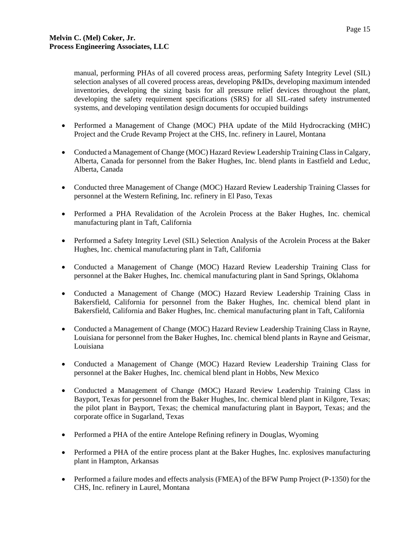manual, performing PHAs of all covered process areas, performing Safety Integrity Level (SIL) selection analyses of all covered process areas, developing P&IDs, developing maximum intended inventories, developing the sizing basis for all pressure relief devices throughout the plant, developing the safety requirement specifications (SRS) for all SIL-rated safety instrumented systems, and developing ventilation design documents for occupied buildings

- Performed a Management of Change (MOC) PHA update of the Mild Hydrocracking (MHC) Project and the Crude Revamp Project at the CHS, Inc. refinery in Laurel, Montana
- Conducted a Management of Change (MOC) Hazard Review Leadership Training Class in Calgary, Alberta, Canada for personnel from the Baker Hughes, Inc. blend plants in Eastfield and Leduc, Alberta, Canada
- Conducted three Management of Change (MOC) Hazard Review Leadership Training Classes for personnel at the Western Refining, Inc. refinery in El Paso, Texas
- Performed a PHA Revalidation of the Acrolein Process at the Baker Hughes, Inc. chemical manufacturing plant in Taft, California
- Performed a Safety Integrity Level (SIL) Selection Analysis of the Acrolein Process at the Baker Hughes, Inc. chemical manufacturing plant in Taft, California
- Conducted a Management of Change (MOC) Hazard Review Leadership Training Class for personnel at the Baker Hughes, Inc. chemical manufacturing plant in Sand Springs, Oklahoma
- Conducted a Management of Change (MOC) Hazard Review Leadership Training Class in Bakersfield, California for personnel from the Baker Hughes, Inc. chemical blend plant in Bakersfield, California and Baker Hughes, Inc. chemical manufacturing plant in Taft, California
- Conducted a Management of Change (MOC) Hazard Review Leadership Training Class in Rayne, Louisiana for personnel from the Baker Hughes, Inc. chemical blend plants in Rayne and Geismar, Louisiana
- Conducted a Management of Change (MOC) Hazard Review Leadership Training Class for personnel at the Baker Hughes, Inc. chemical blend plant in Hobbs, New Mexico
- Conducted a Management of Change (MOC) Hazard Review Leadership Training Class in Bayport, Texas for personnel from the Baker Hughes, Inc. chemical blend plant in Kilgore, Texas; the pilot plant in Bayport, Texas; the chemical manufacturing plant in Bayport, Texas; and the corporate office in Sugarland, Texas
- Performed a PHA of the entire Antelope Refining refinery in Douglas, Wyoming
- Performed a PHA of the entire process plant at the Baker Hughes, Inc. explosives manufacturing plant in Hampton, Arkansas
- Performed a failure modes and effects analysis (FMEA) of the BFW Pump Project (P-1350) for the CHS, Inc. refinery in Laurel, Montana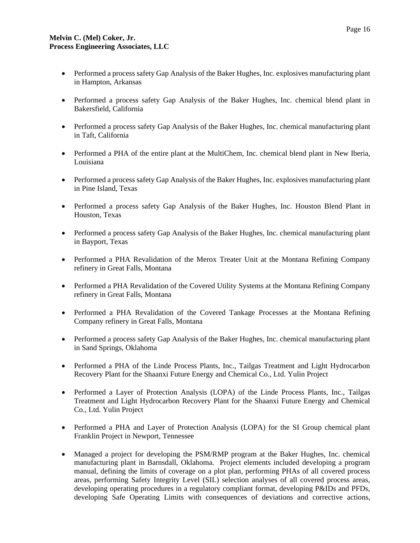- Performed a process safety Gap Analysis of the Baker Hughes, Inc. explosives manufacturing plant in Hampton, Arkansas
- Performed a process safety Gap Analysis of the Baker Hughes, Inc. chemical blend plant in Bakersfield, California
- Performed a process safety Gap Analysis of the Baker Hughes, Inc. chemical manufacturing plant in Taft, California
- Performed a PHA of the entire plant at the MultiChem, Inc. chemical blend plant in New Iberia, Louisiana
- Performed a process safety Gap Analysis of the Baker Hughes, Inc. explosives manufacturing plant in Pine Island, Texas
- Performed a process safety Gap Analysis of the Baker Hughes, Inc. Houston Blend Plant in Houston, Texas
- Performed a process safety Gap Analysis of the Baker Hughes, Inc. chemical manufacturing plant in Bayport, Texas
- Performed a PHA Revalidation of the Merox Treater Unit at the Montana Refining Company refinery in Great Falls, Montana
- Performed a PHA Revalidation of the Covered Utility Systems at the Montana Refining Company refinery in Great Falls, Montana
- Performed a PHA Revalidation of the Covered Tankage Processes at the Montana Refining Company refinery in Great Falls, Montana
- Performed a process safety Gap Analysis of the Baker Hughes, Inc. chemical manufacturing plant in Sand Springs, Oklahoma
- Performed a PHA of the Linde Process Plants, Inc., Tailgas Treatment and Light Hydrocarbon Recovery Plant for the Shaanxi Future Energy and Chemical Co., Ltd. Yulin Project
- Performed a Layer of Protection Analysis (LOPA) of the Linde Process Plants, Inc., Tailgas Treatment and Light Hydrocarbon Recovery Plant for the Shaanxi Future Energy and Chemical Co., Ltd. Yulin Project
- Performed a PHA and Layer of Protection Analysis (LOPA) for the SI Group chemical plant Franklin Project in Newport, Tennessee
- Managed a project for developing the PSM/RMP program at the Baker Hughes, Inc. chemical manufacturing plant in Barnsdall, Oklahoma. Project elements included developing a program manual, defining the limits of coverage on a plot plan, performing PHAs of all covered process areas, performing Safety Integrity Level (SIL) selection analyses of all covered process areas, developing operating procedures in a regulatory compliant format, developing P&IDs and PFDs, developing Safe Operating Limits with consequences of deviations and corrective actions,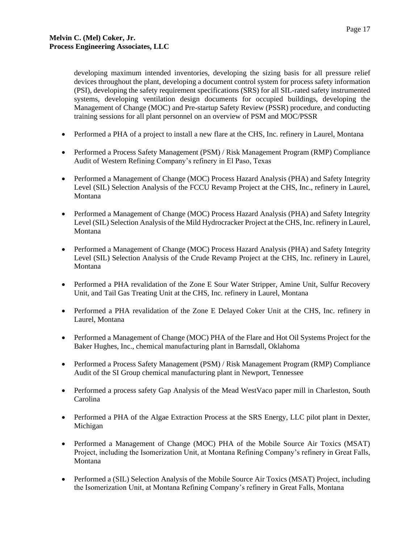developing maximum intended inventories, developing the sizing basis for all pressure relief devices throughout the plant, developing a document control system for process safety information (PSI), developing the safety requirement specifications (SRS) for all SIL-rated safety instrumented systems, developing ventilation design documents for occupied buildings, developing the Management of Change (MOC) and Pre-startup Safety Review (PSSR) procedure, and conducting training sessions for all plant personnel on an overview of PSM and MOC/PSSR

- Performed a PHA of a project to install a new flare at the CHS, Inc. refinery in Laurel, Montana
- Performed a Process Safety Management (PSM) / Risk Management Program (RMP) Compliance Audit of Western Refining Company's refinery in El Paso, Texas
- Performed a Management of Change (MOC) Process Hazard Analysis (PHA) and Safety Integrity Level (SIL) Selection Analysis of the FCCU Revamp Project at the CHS, Inc., refinery in Laurel, Montana
- Performed a Management of Change (MOC) Process Hazard Analysis (PHA) and Safety Integrity Level (SIL) Selection Analysis of the Mild Hydrocracker Project at the CHS, Inc. refinery in Laurel, Montana
- Performed a Management of Change (MOC) Process Hazard Analysis (PHA) and Safety Integrity Level (SIL) Selection Analysis of the Crude Revamp Project at the CHS, Inc. refinery in Laurel, Montana
- Performed a PHA revalidation of the Zone E Sour Water Stripper, Amine Unit, Sulfur Recovery Unit, and Tail Gas Treating Unit at the CHS, Inc. refinery in Laurel, Montana
- Performed a PHA revalidation of the Zone E Delayed Coker Unit at the CHS, Inc. refinery in Laurel, Montana
- Performed a Management of Change (MOC) PHA of the Flare and Hot Oil Systems Project for the Baker Hughes, Inc., chemical manufacturing plant in Barnsdall, Oklahoma
- Performed a Process Safety Management (PSM) / Risk Management Program (RMP) Compliance Audit of the SI Group chemical manufacturing plant in Newport, Tennessee
- Performed a process safety Gap Analysis of the Mead WestVaco paper mill in Charleston, South Carolina
- Performed a PHA of the Algae Extraction Process at the SRS Energy, LLC pilot plant in Dexter, Michigan
- Performed a Management of Change (MOC) PHA of the Mobile Source Air Toxics (MSAT) Project, including the Isomerization Unit, at Montana Refining Company's refinery in Great Falls, Montana
- Performed a (SIL) Selection Analysis of the Mobile Source Air Toxics (MSAT) Project, including the Isomerization Unit, at Montana Refining Company's refinery in Great Falls, Montana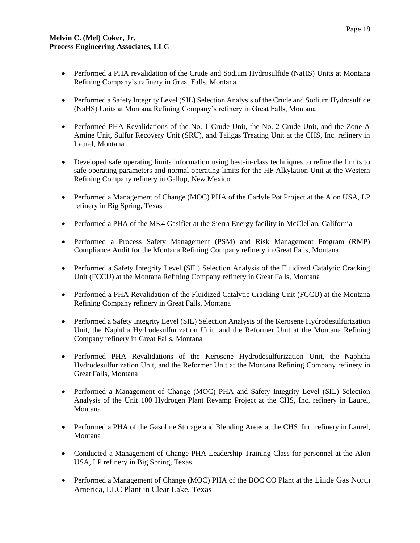- Performed a PHA revalidation of the Crude and Sodium Hydrosulfide (NaHS) Units at Montana Refining Company's refinery in Great Falls, Montana
- Performed a Safety Integrity Level (SIL) Selection Analysis of the Crude and Sodium Hydrosulfide (NaHS) Units at Montana Refining Company's refinery in Great Falls, Montana
- Performed PHA Revalidations of the No. 1 Crude Unit, the No. 2 Crude Unit, and the Zone A Amine Unit, Sulfur Recovery Unit (SRU), and Tailgas Treating Unit at the CHS, Inc. refinery in Laurel, Montana
- Developed safe operating limits information using best-in-class techniques to refine the limits to safe operating parameters and normal operating limits for the HF Alkylation Unit at the Western Refining Company refinery in Gallup, New Mexico
- Performed a Management of Change (MOC) PHA of the Carlyle Pot Project at the Alon USA, LP refinery in Big Spring, Texas
- Performed a PHA of the MK4 Gasifier at the Sierra Energy facility in McClellan, California
- Performed a Process Safety Management (PSM) and Risk Management Program (RMP) Compliance Audit for the Montana Refining Company refinery in Great Falls, Montana
- Performed a Safety Integrity Level (SIL) Selection Analysis of the Fluidized Catalytic Cracking Unit (FCCU) at the Montana Refining Company refinery in Great Falls, Montana
- Performed a PHA Revalidation of the Fluidized Catalytic Cracking Unit (FCCU) at the Montana Refining Company refinery in Great Falls, Montana
- Performed a Safety Integrity Level (SIL) Selection Analysis of the Kerosene Hydrodesulfurization Unit, the Naphtha Hydrodesulfurization Unit, and the Reformer Unit at the Montana Refining Company refinery in Great Falls, Montana
- Performed PHA Revalidations of the Kerosene Hydrodesulfurization Unit, the Naphtha Hydrodesulfurization Unit, and the Reformer Unit at the Montana Refining Company refinery in Great Falls, Montana
- Performed a Management of Change (MOC) PHA and Safety Integrity Level (SIL) Selection Analysis of the Unit 100 Hydrogen Plant Revamp Project at the CHS, Inc. refinery in Laurel, Montana
- Performed a PHA of the Gasoline Storage and Blending Areas at the CHS, Inc. refinery in Laurel, Montana
- Conducted a Management of Change PHA Leadership Training Class for personnel at the Alon USA, LP refinery in Big Spring, Texas
- Performed a Management of Change (MOC) PHA of the BOC CO Plant at the Linde Gas North America, LLC Plant in Clear Lake, Texas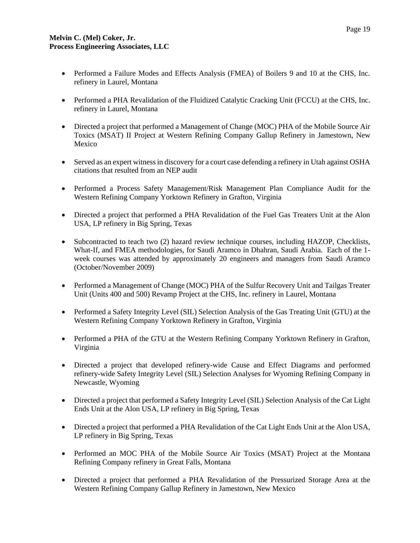- Performed a Failure Modes and Effects Analysis (FMEA) of Boilers 9 and 10 at the CHS, Inc. refinery in Laurel, Montana
- Performed a PHA Revalidation of the Fluidized Catalytic Cracking Unit (FCCU) at the CHS, Inc. refinery in Laurel, Montana
- Directed a project that performed a Management of Change (MOC) PHA of the Mobile Source Air Toxics (MSAT) II Project at Western Refining Company Gallup Refinery in Jamestown, New Mexico
- Served as an expert witness in discovery for a court case defending a refinery in Utah against OSHA citations that resulted from an NEP audit
- Performed a Process Safety Management/Risk Management Plan Compliance Audit for the Western Refining Company Yorktown Refinery in Grafton, Virginia
- Directed a project that performed a PHA Revalidation of the Fuel Gas Treaters Unit at the Alon USA, LP refinery in Big Spring, Texas
- Subcontracted to teach two (2) hazard review technique courses, including HAZOP, Checklists, What-If, and FMEA methodologies, for Saudi Aramco in Dhahran, Saudi Arabia. Each of the 1 week courses was attended by approximately 20 engineers and managers from Saudi Aramco (October/November 2009)
- Performed a Management of Change (MOC) PHA of the Sulfur Recovery Unit and Tailgas Treater Unit (Units 400 and 500) Revamp Project at the CHS, Inc. refinery in Laurel, Montana
- Performed a Safety Integrity Level (SIL) Selection Analysis of the Gas Treating Unit (GTU) at the Western Refining Company Yorktown Refinery in Grafton, Virginia
- Performed a PHA of the GTU at the Western Refining Company Yorktown Refinery in Grafton, Virginia
- Directed a project that developed refinery-wide Cause and Effect Diagrams and performed refinery-wide Safety Integrity Level (SIL) Selection Analyses for Wyoming Refining Company in Newcastle, Wyoming
- Directed a project that performed a Safety Integrity Level (SIL) Selection Analysis of the Cat Light Ends Unit at the Alon USA, LP refinery in Big Spring, Texas
- Directed a project that performed a PHA Revalidation of the Cat Light Ends Unit at the Alon USA, LP refinery in Big Spring, Texas
- Performed an MOC PHA of the Mobile Source Air Toxics (MSAT) Project at the Montana Refining Company refinery in Great Falls, Montana
- Directed a project that performed a PHA Revalidation of the Pressurized Storage Area at the Western Refining Company Gallup Refinery in Jamestown, New Mexico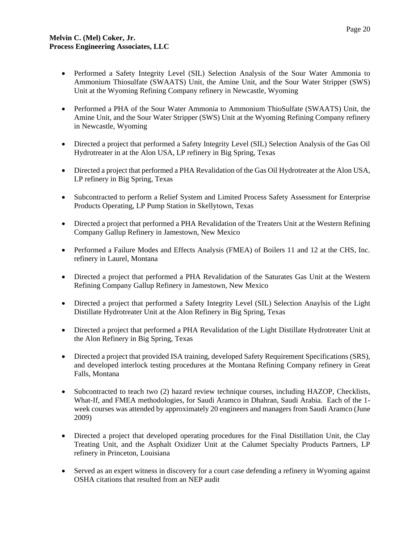- Performed a Safety Integrity Level (SIL) Selection Analysis of the Sour Water Ammonia to Ammonium Thiosulfate (SWAATS) Unit, the Amine Unit, and the Sour Water Stripper (SWS) Unit at the Wyoming Refining Company refinery in Newcastle, Wyoming
- Performed a PHA of the Sour Water Ammonia to Ammonium ThioSulfate (SWAATS) Unit, the Amine Unit, and the Sour Water Stripper (SWS) Unit at the Wyoming Refining Company refinery in Newcastle, Wyoming
- Directed a project that performed a Safety Integrity Level (SIL) Selection Analysis of the Gas Oil Hydrotreater in at the Alon USA, LP refinery in Big Spring, Texas
- Directed a project that performed a PHA Revalidation of the Gas Oil Hydrotreater at the Alon USA, LP refinery in Big Spring, Texas
- Subcontracted to perform a Relief System and Limited Process Safety Assessment for Enterprise Products Operating, LP Pump Station in Skellytown, Texas
- Directed a project that performed a PHA Revalidation of the Treaters Unit at the Western Refining Company Gallup Refinery in Jamestown, New Mexico
- Performed a Failure Modes and Effects Analysis (FMEA) of Boilers 11 and 12 at the CHS, Inc. refinery in Laurel, Montana
- Directed a project that performed a PHA Revalidation of the Saturates Gas Unit at the Western Refining Company Gallup Refinery in Jamestown, New Mexico
- Directed a project that performed a Safety Integrity Level (SIL) Selection Anaylsis of the Light Distillate Hydrotreater Unit at the Alon Refinery in Big Spring, Texas
- Directed a project that performed a PHA Revalidation of the Light Distillate Hydrotreater Unit at the Alon Refinery in Big Spring, Texas
- Directed a project that provided ISA training, developed Safety Requirement Specifications (SRS), and developed interlock testing procedures at the Montana Refining Company refinery in Great Falls, Montana
- Subcontracted to teach two (2) hazard review technique courses, including HAZOP, Checklists, What-If, and FMEA methodologies, for Saudi Aramco in Dhahran, Saudi Arabia. Each of the 1 week courses was attended by approximately 20 engineers and managers from Saudi Aramco (June 2009)
- Directed a project that developed operating procedures for the Final Distillation Unit, the Clay Treating Unit, and the Asphalt Oxidizer Unit at the Calumet Specialty Products Partners, LP refinery in Princeton, Louisiana
- Served as an expert witness in discovery for a court case defending a refinery in Wyoming against OSHA citations that resulted from an NEP audit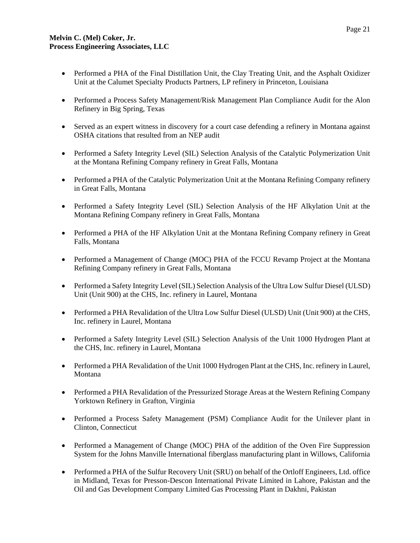- Performed a PHA of the Final Distillation Unit, the Clay Treating Unit, and the Asphalt Oxidizer Unit at the Calumet Specialty Products Partners, LP refinery in Princeton, Louisiana
- Performed a Process Safety Management/Risk Management Plan Compliance Audit for the Alon Refinery in Big Spring, Texas
- Served as an expert witness in discovery for a court case defending a refinery in Montana against OSHA citations that resulted from an NEP audit
- Performed a Safety Integrity Level (SIL) Selection Analysis of the Catalytic Polymerization Unit at the Montana Refining Company refinery in Great Falls, Montana
- Performed a PHA of the Catalytic Polymerization Unit at the Montana Refining Company refinery in Great Falls, Montana
- Performed a Safety Integrity Level (SIL) Selection Analysis of the HF Alkylation Unit at the Montana Refining Company refinery in Great Falls, Montana
- Performed a PHA of the HF Alkylation Unit at the Montana Refining Company refinery in Great Falls, Montana
- Performed a Management of Change (MOC) PHA of the FCCU Revamp Project at the Montana Refining Company refinery in Great Falls, Montana
- Performed a Safety Integrity Level (SIL) Selection Analysis of the Ultra Low Sulfur Diesel (ULSD) Unit (Unit 900) at the CHS, Inc. refinery in Laurel, Montana
- Performed a PHA Revalidation of the Ultra Low Sulfur Diesel (ULSD) Unit (Unit 900) at the CHS, Inc. refinery in Laurel, Montana
- Performed a Safety Integrity Level (SIL) Selection Analysis of the Unit 1000 Hydrogen Plant at the CHS, Inc. refinery in Laurel, Montana
- Performed a PHA Revalidation of the Unit 1000 Hydrogen Plant at the CHS, Inc. refinery in Laurel, Montana
- Performed a PHA Revalidation of the Pressurized Storage Areas at the Western Refining Company Yorktown Refinery in Grafton, Virginia
- Performed a Process Safety Management (PSM) Compliance Audit for the Unilever plant in Clinton, Connecticut
- Performed a Management of Change (MOC) PHA of the addition of the Oven Fire Suppression System for the Johns Manville International fiberglass manufacturing plant in Willows, California
- Performed a PHA of the Sulfur Recovery Unit (SRU) on behalf of the Ortloff Engineers, Ltd. office in Midland, Texas for Presson-Descon International Private Limited in Lahore, Pakistan and the Oil and Gas Development Company Limited Gas Processing Plant in Dakhni, Pakistan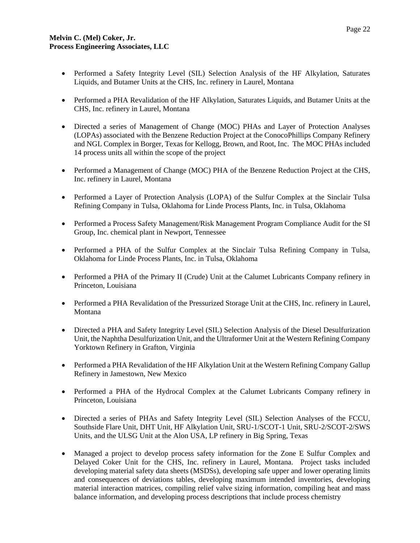- Performed a Safety Integrity Level (SIL) Selection Analysis of the HF Alkylation, Saturates Liquids, and Butamer Units at the CHS, Inc. refinery in Laurel, Montana
- Performed a PHA Revalidation of the HF Alkylation, Saturates Liquids, and Butamer Units at the CHS, Inc. refinery in Laurel, Montana
- Directed a series of Management of Change (MOC) PHAs and Layer of Protection Analyses (LOPAs) associated with the Benzene Reduction Project at the ConocoPhillips Company Refinery and NGL Complex in Borger, Texas for Kellogg, Brown, and Root, Inc. The MOC PHAs included 14 process units all within the scope of the project
- Performed a Management of Change (MOC) PHA of the Benzene Reduction Project at the CHS, Inc. refinery in Laurel, Montana
- Performed a Layer of Protection Analysis (LOPA) of the Sulfur Complex at the Sinclair Tulsa Refining Company in Tulsa, Oklahoma for Linde Process Plants, Inc. in Tulsa, Oklahoma
- Performed a Process Safety Management/Risk Management Program Compliance Audit for the SI Group, Inc. chemical plant in Newport, Tennessee
- Performed a PHA of the Sulfur Complex at the Sinclair Tulsa Refining Company in Tulsa, Oklahoma for Linde Process Plants, Inc. in Tulsa, Oklahoma
- Performed a PHA of the Primary II (Crude) Unit at the Calumet Lubricants Company refinery in Princeton, Louisiana
- Performed a PHA Revalidation of the Pressurized Storage Unit at the CHS, Inc. refinery in Laurel, Montana
- Directed a PHA and Safety Integrity Level (SIL) Selection Analysis of the Diesel Desulfurization Unit, the Naphtha Desulfurization Unit, and the Ultraformer Unit at the Western Refining Company Yorktown Refinery in Grafton, Virginia
- Performed a PHA Revalidation of the HF Alkylation Unit at the Western Refining Company Gallup Refinery in Jamestown, New Mexico
- Performed a PHA of the Hydrocal Complex at the Calumet Lubricants Company refinery in Princeton, Louisiana
- Directed a series of PHAs and Safety Integrity Level (SIL) Selection Analyses of the FCCU, Southside Flare Unit, DHT Unit, HF Alkylation Unit, SRU-1/SCOT-1 Unit, SRU-2/SCOT-2/SWS Units, and the ULSG Unit at the Alon USA, LP refinery in Big Spring, Texas
- Managed a project to develop process safety information for the Zone E Sulfur Complex and Delayed Coker Unit for the CHS, Inc. refinery in Laurel, Montana. Project tasks included developing material safety data sheets (MSDSs), developing safe upper and lower operating limits and consequences of deviations tables, developing maximum intended inventories, developing material interaction matrices, compiling relief valve sizing information, compiling heat and mass balance information, and developing process descriptions that include process chemistry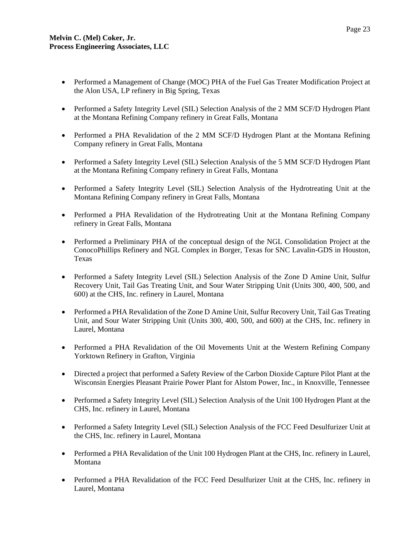- Performed a Management of Change (MOC) PHA of the Fuel Gas Treater Modification Project at the Alon USA, LP refinery in Big Spring, Texas
- Performed a Safety Integrity Level (SIL) Selection Analysis of the 2 MM SCF/D Hydrogen Plant at the Montana Refining Company refinery in Great Falls, Montana
- Performed a PHA Revalidation of the 2 MM SCF/D Hydrogen Plant at the Montana Refining Company refinery in Great Falls, Montana
- Performed a Safety Integrity Level (SIL) Selection Analysis of the 5 MM SCF/D Hydrogen Plant at the Montana Refining Company refinery in Great Falls, Montana
- Performed a Safety Integrity Level (SIL) Selection Analysis of the Hydrotreating Unit at the Montana Refining Company refinery in Great Falls, Montana
- Performed a PHA Revalidation of the Hydrotreating Unit at the Montana Refining Company refinery in Great Falls, Montana
- Performed a Preliminary PHA of the conceptual design of the NGL Consolidation Project at the ConocoPhillips Refinery and NGL Complex in Borger, Texas for SNC Lavalin-GDS in Houston, Texas
- Performed a Safety Integrity Level (SIL) Selection Analysis of the Zone D Amine Unit, Sulfur Recovery Unit, Tail Gas Treating Unit, and Sour Water Stripping Unit (Units 300, 400, 500, and 600) at the CHS, Inc. refinery in Laurel, Montana
- Performed a PHA Revalidation of the Zone D Amine Unit, Sulfur Recovery Unit, Tail Gas Treating Unit, and Sour Water Stripping Unit (Units 300, 400, 500, and 600) at the CHS, Inc. refinery in Laurel, Montana
- Performed a PHA Revalidation of the Oil Movements Unit at the Western Refining Company Yorktown Refinery in Grafton, Virginia
- Directed a project that performed a Safety Review of the Carbon Dioxide Capture Pilot Plant at the Wisconsin Energies Pleasant Prairie Power Plant for Alstom Power, Inc., in Knoxville, Tennessee
- Performed a Safety Integrity Level (SIL) Selection Analysis of the Unit 100 Hydrogen Plant at the CHS, Inc. refinery in Laurel, Montana
- Performed a Safety Integrity Level (SIL) Selection Analysis of the FCC Feed Desulfurizer Unit at the CHS, Inc. refinery in Laurel, Montana
- Performed a PHA Revalidation of the Unit 100 Hydrogen Plant at the CHS, Inc. refinery in Laurel, Montana
- Performed a PHA Revalidation of the FCC Feed Desulfurizer Unit at the CHS, Inc. refinery in Laurel, Montana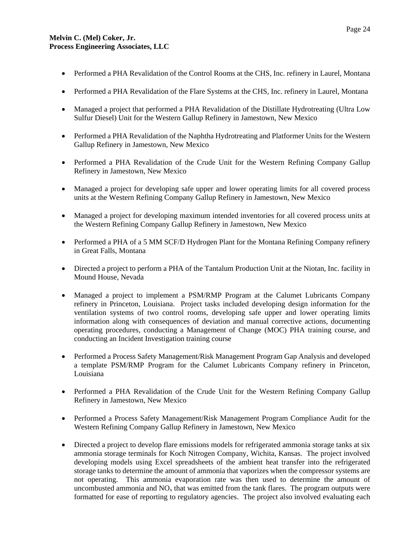- Performed a PHA Revalidation of the Control Rooms at the CHS, Inc. refinery in Laurel, Montana
- Performed a PHA Revalidation of the Flare Systems at the CHS, Inc. refinery in Laurel, Montana
- Managed a project that performed a PHA Revalidation of the Distillate Hydrotreating (Ultra Low Sulfur Diesel) Unit for the Western Gallup Refinery in Jamestown, New Mexico
- Performed a PHA Revalidation of the Naphtha Hydrotreating and Platformer Units for the Western Gallup Refinery in Jamestown, New Mexico
- Performed a PHA Revalidation of the Crude Unit for the Western Refining Company Gallup Refinery in Jamestown, New Mexico
- Managed a project for developing safe upper and lower operating limits for all covered process units at the Western Refining Company Gallup Refinery in Jamestown, New Mexico
- Managed a project for developing maximum intended inventories for all covered process units at the Western Refining Company Gallup Refinery in Jamestown, New Mexico
- Performed a PHA of a 5 MM SCF/D Hydrogen Plant for the Montana Refining Company refinery in Great Falls, Montana
- Directed a project to perform a PHA of the Tantalum Production Unit at the Niotan, Inc. facility in Mound House, Nevada
- Managed a project to implement a PSM/RMP Program at the Calumet Lubricants Company refinery in Princeton, Louisiana. Project tasks included developing design information for the ventilation systems of two control rooms, developing safe upper and lower operating limits information along with consequences of deviation and manual corrective actions, documenting operating procedures, conducting a Management of Change (MOC) PHA training course, and conducting an Incident Investigation training course
- Performed a Process Safety Management/Risk Management Program Gap Analysis and developed a template PSM/RMP Program for the Calumet Lubricants Company refinery in Princeton, Louisiana
- Performed a PHA Revalidation of the Crude Unit for the Western Refining Company Gallup Refinery in Jamestown, New Mexico
- Performed a Process Safety Management/Risk Management Program Compliance Audit for the Western Refining Company Gallup Refinery in Jamestown, New Mexico
- Directed a project to develop flare emissions models for refrigerated ammonia storage tanks at six ammonia storage terminals for Koch Nitrogen Company, Wichita, Kansas. The project involved developing models using Excel spreadsheets of the ambient heat transfer into the refrigerated storage tanks to determine the amount of ammonia that vaporizes when the compressor systems are not operating. This ammonia evaporation rate was then used to determine the amount of uncombusted ammonia and  $NO<sub>x</sub>$  that was emitted from the tank flares. The program outputs were formatted for ease of reporting to regulatory agencies. The project also involved evaluating each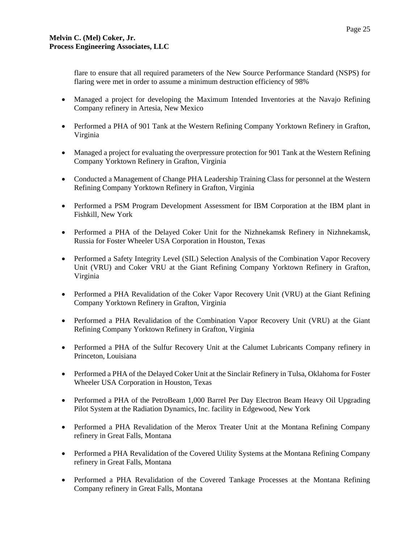flare to ensure that all required parameters of the New Source Performance Standard (NSPS) for flaring were met in order to assume a minimum destruction efficiency of 98%

- Managed a project for developing the Maximum Intended Inventories at the Navajo Refining Company refinery in Artesia, New Mexico
- Performed a PHA of 901 Tank at the Western Refining Company Yorktown Refinery in Grafton, Virginia
- Managed a project for evaluating the overpressure protection for 901 Tank at the Western Refining Company Yorktown Refinery in Grafton, Virginia
- Conducted a Management of Change PHA Leadership Training Class for personnel at the Western Refining Company Yorktown Refinery in Grafton, Virginia
- Performed a PSM Program Development Assessment for IBM Corporation at the IBM plant in Fishkill, New York
- Performed a PHA of the Delayed Coker Unit for the Nizhnekamsk Refinery in Nizhnekamsk, Russia for Foster Wheeler USA Corporation in Houston, Texas
- Performed a Safety Integrity Level (SIL) Selection Analysis of the Combination Vapor Recovery Unit (VRU) and Coker VRU at the Giant Refining Company Yorktown Refinery in Grafton, Virginia
- Performed a PHA Revalidation of the Coker Vapor Recovery Unit (VRU) at the Giant Refining Company Yorktown Refinery in Grafton, Virginia
- Performed a PHA Revalidation of the Combination Vapor Recovery Unit (VRU) at the Giant Refining Company Yorktown Refinery in Grafton, Virginia
- Performed a PHA of the Sulfur Recovery Unit at the Calumet Lubricants Company refinery in Princeton, Louisiana
- Performed a PHA of the Delayed Coker Unit at the Sinclair Refinery in Tulsa, Oklahoma for Foster Wheeler USA Corporation in Houston, Texas
- Performed a PHA of the PetroBeam 1,000 Barrel Per Day Electron Beam Heavy Oil Upgrading Pilot System at the Radiation Dynamics, Inc. facility in Edgewood, New York
- Performed a PHA Revalidation of the Merox Treater Unit at the Montana Refining Company refinery in Great Falls, Montana
- Performed a PHA Revalidation of the Covered Utility Systems at the Montana Refining Company refinery in Great Falls, Montana
- Performed a PHA Revalidation of the Covered Tankage Processes at the Montana Refining Company refinery in Great Falls, Montana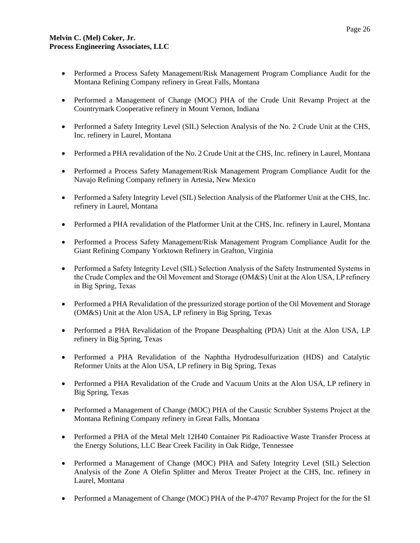- Performed a Process Safety Management/Risk Management Program Compliance Audit for the Montana Refining Company refinery in Great Falls, Montana
- Performed a Management of Change (MOC) PHA of the Crude Unit Revamp Project at the Countrymark Cooperative refinery in Mount Vernon, Indiana
- Performed a Safety Integrity Level (SIL) Selection Analysis of the No. 2 Crude Unit at the CHS, Inc. refinery in Laurel, Montana
- Performed a PHA revalidation of the No. 2 Crude Unit at the CHS, Inc. refinery in Laurel, Montana
- Performed a Process Safety Management/Risk Management Program Compliance Audit for the Navajo Refining Company refinery in Artesia, New Mexico
- Performed a Safety Integrity Level (SIL) Selection Analysis of the Platformer Unit at the CHS, Inc. refinery in Laurel, Montana
- Performed a PHA revalidation of the Platformer Unit at the CHS, Inc. refinery in Laurel, Montana
- Performed a Process Safety Management/Risk Management Program Compliance Audit for the Giant Refining Company Yorktown Refinery in Grafton, Virginia
- Performed a Safety Integrity Level (SIL) Selection Analysis of the Safety Instrumented Systems in the Crude Complex and the Oil Movement and Storage (OM&S) Unit at the Alon USA, LP refinery in Big Spring, Texas
- Performed a PHA Revalidation of the pressurized storage portion of the Oil Movement and Storage (OM&S) Unit at the Alon USA, LP refinery in Big Spring, Texas
- Performed a PHA Revalidation of the Propane Deasphalting (PDA) Unit at the Alon USA, LP refinery in Big Spring, Texas
- Performed a PHA Revalidation of the Naphtha Hydrodesulfurization (HDS) and Catalytic Reformer Units at the Alon USA, LP refinery in Big Spring, Texas
- Performed a PHA Revalidation of the Crude and Vacuum Units at the Alon USA, LP refinery in Big Spring, Texas
- Performed a Management of Change (MOC) PHA of the Caustic Scrubber Systems Project at the Montana Refining Company refinery in Great Falls, Montana
- Performed a PHA of the Metal Melt 12H40 Container Pit Radioactive Waste Transfer Process at the Energy Solutions, LLC Bear Creek Facility in Oak Ridge, Tennessee
- Performed a Management of Change (MOC) PHA and Safety Integrity Level (SIL) Selection Analysis of the Zone A Olefin Splitter and Merox Treater Project at the CHS, Inc. refinery in Laurel, Montana
- Performed a Management of Change (MOC) PHA of the P-4707 Revamp Project for the for the SI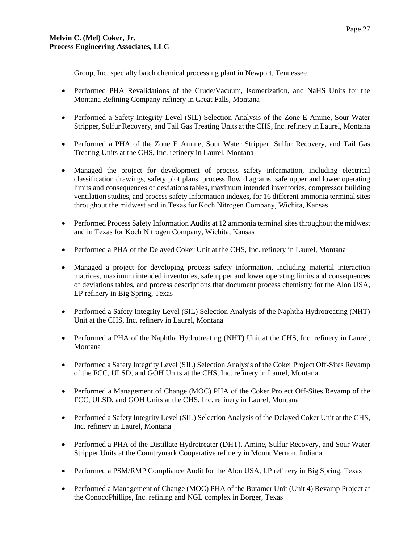Group, Inc. specialty batch chemical processing plant in Newport, Tennessee

- Performed PHA Revalidations of the Crude/Vacuum, Isomerization, and NaHS Units for the Montana Refining Company refinery in Great Falls, Montana
- Performed a Safety Integrity Level (SIL) Selection Analysis of the Zone E Amine, Sour Water Stripper, Sulfur Recovery, and Tail Gas Treating Units at the CHS, Inc. refinery in Laurel, Montana
- Performed a PHA of the Zone E Amine, Sour Water Stripper, Sulfur Recovery, and Tail Gas Treating Units at the CHS, Inc. refinery in Laurel, Montana
- Managed the project for development of process safety information, including electrical classification drawings, safety plot plans, process flow diagrams, safe upper and lower operating limits and consequences of deviations tables, maximum intended inventories, compressor building ventilation studies, and process safety information indexes, for 16 different ammonia terminal sites throughout the midwest and in Texas for Koch Nitrogen Company, Wichita, Kansas
- Performed Process Safety Information Audits at 12 ammonia terminal sites throughout the midwest and in Texas for Koch Nitrogen Company, Wichita, Kansas
- Performed a PHA of the Delayed Coker Unit at the CHS, Inc. refinery in Laurel, Montana
- Managed a project for developing process safety information, including material interaction matrices, maximum intended inventories, safe upper and lower operating limits and consequences of deviations tables, and process descriptions that document process chemistry for the Alon USA, LP refinery in Big Spring, Texas
- Performed a Safety Integrity Level (SIL) Selection Analysis of the Naphtha Hydrotreating (NHT) Unit at the CHS, Inc. refinery in Laurel, Montana
- Performed a PHA of the Naphtha Hydrotreating (NHT) Unit at the CHS, Inc. refinery in Laurel, Montana
- Performed a Safety Integrity Level (SIL) Selection Analysis of the Coker Project Off-Sites Revamp of the FCC, ULSD, and GOH Units at the CHS, Inc. refinery in Laurel, Montana
- Performed a Management of Change (MOC) PHA of the Coker Project Off-Sites Revamp of the FCC, ULSD, and GOH Units at the CHS, Inc. refinery in Laurel, Montana
- Performed a Safety Integrity Level (SIL) Selection Analysis of the Delayed Coker Unit at the CHS, Inc. refinery in Laurel, Montana
- Performed a PHA of the Distillate Hydrotreater (DHT), Amine, Sulfur Recovery, and Sour Water Stripper Units at the Countrymark Cooperative refinery in Mount Vernon, Indiana
- Performed a PSM/RMP Compliance Audit for the Alon USA, LP refinery in Big Spring, Texas
- Performed a Management of Change (MOC) PHA of the Butamer Unit (Unit 4) Revamp Project at the ConocoPhillips, Inc. refining and NGL complex in Borger, Texas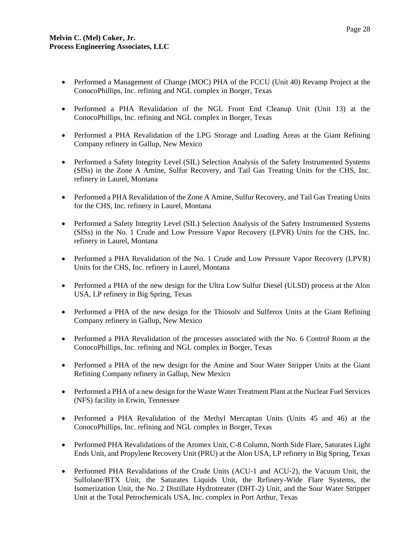- Performed a Management of Change (MOC) PHA of the FCCU (Unit 40) Revamp Project at the ConocoPhillips, Inc. refining and NGL complex in Borger, Texas
- Performed a PHA Revalidation of the NGL Front End Cleanup Unit (Unit 13) at the ConocoPhillips, Inc. refining and NGL complex in Borger, Texas
- Performed a PHA Revalidation of the LPG Storage and Loading Areas at the Giant Refining Company refinery in Gallup, New Mexico
- Performed a Safety Integrity Level (SIL) Selection Analysis of the Safety Instrumented Systems (SISs) in the Zone A Amine, Sulfur Recovery, and Tail Gas Treating Units for the CHS, Inc. refinery in Laurel, Montana
- Performed a PHA Revalidation of the Zone A Amine, Sulfur Recovery, and Tail Gas Treating Units for the CHS, Inc. refinery in Laurel, Montana
- Performed a Safety Integrity Level (SIL) Selection Analysis of the Safety Instrumented Systems (SISs) in the No. 1 Crude and Low Pressure Vapor Recovery (LPVR) Units for the CHS, Inc. refinery in Laurel, Montana
- Performed a PHA Revalidation of the No. 1 Crude and Low Pressure Vapor Recovery (LPVR) Units for the CHS, Inc. refinery in Laurel, Montana
- Performed a PHA of the new design for the Ultra Low Sulfur Diesel (ULSD) process at the Alon USA, LP refinery in Big Spring, Texas
- Performed a PHA of the new design for the Thiosolv and Sulferox Units at the Giant Refining Company refinery in Gallup, New Mexico
- Performed a PHA Revalidation of the processes associated with the No. 6 Control Room at the ConocoPhillips, Inc. refining and NGL complex in Borger, Texas
- Performed a PHA of the new design for the Amine and Sour Water Stripper Units at the Giant Refining Company refinery in Gallup, New Mexico
- Performed a PHA of a new design for the Waste Water Treatment Plant at the Nuclear Fuel Services (NFS) facility in Erwin, Tennessee
- Performed a PHA Revalidation of the Methyl Mercaptan Units (Units 45 and 46) at the ConocoPhillips, Inc. refining and NGL complex in Borger, Texas
- Performed PHA Revalidations of the Aromex Unit, C-8 Column, North Side Flare, Saturates Light Ends Unit, and Propylene Recovery Unit (PRU) at the Alon USA, LP refinery in Big Spring, Texas
- Performed PHA Revalidations of the Crude Units (ACU-1 and ACU-2), the Vacuum Unit, the Sulfolane/BTX Unit, the Saturates Liquids Unit, the Refinery-Wide Flare Systems, the Isomerization Unit, the No. 2 Distillate Hydrotreater (DHT-2) Unit, and the Sour Water Stripper Unit at the Total Petrochemicals USA, Inc. complex in Port Arthur, Texas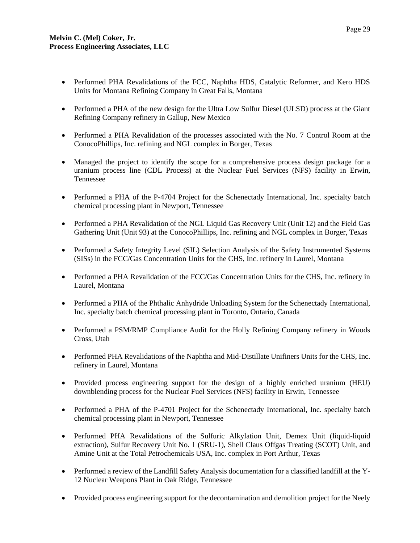- Performed PHA Revalidations of the FCC, Naphtha HDS, Catalytic Reformer, and Kero HDS Units for Montana Refining Company in Great Falls, Montana
- Performed a PHA of the new design for the Ultra Low Sulfur Diesel (ULSD) process at the Giant Refining Company refinery in Gallup, New Mexico
- Performed a PHA Revalidation of the processes associated with the No. 7 Control Room at the ConocoPhillips, Inc. refining and NGL complex in Borger, Texas
- Managed the project to identify the scope for a comprehensive process design package for a uranium process line (CDL Process) at the Nuclear Fuel Services (NFS) facility in Erwin, Tennessee
- Performed a PHA of the P-4704 Project for the Schenectady International, Inc. specialty batch chemical processing plant in Newport, Tennessee
- Performed a PHA Revalidation of the NGL Liquid Gas Recovery Unit (Unit 12) and the Field Gas Gathering Unit (Unit 93) at the ConocoPhillips, Inc. refining and NGL complex in Borger, Texas
- Performed a Safety Integrity Level (SIL) Selection Analysis of the Safety Instrumented Systems (SISs) in the FCC/Gas Concentration Units for the CHS, Inc. refinery in Laurel, Montana
- Performed a PHA Revalidation of the FCC/Gas Concentration Units for the CHS, Inc. refinery in Laurel, Montana
- Performed a PHA of the Phthalic Anhydride Unloading System for the Schenectady International, Inc. specialty batch chemical processing plant in Toronto, Ontario, Canada
- Performed a PSM/RMP Compliance Audit for the Holly Refining Company refinery in Woods Cross, Utah
- Performed PHA Revalidations of the Naphtha and Mid-Distillate Unifiners Units for the CHS, Inc. refinery in Laurel, Montana
- Provided process engineering support for the design of a highly enriched uranium (HEU) downblending process for the Nuclear Fuel Services (NFS) facility in Erwin, Tennessee
- Performed a PHA of the P-4701 Project for the Schenectady International, Inc. specialty batch chemical processing plant in Newport, Tennessee
- Performed PHA Revalidations of the Sulfuric Alkylation Unit, Demex Unit (liquid-liquid) extraction), Sulfur Recovery Unit No. 1 (SRU-1), Shell Claus Offgas Treating (SCOT) Unit, and Amine Unit at the Total Petrochemicals USA, Inc. complex in Port Arthur, Texas
- Performed a review of the Landfill Safety Analysis documentation for a classified landfill at the Y-12 Nuclear Weapons Plant in Oak Ridge, Tennessee
- Provided process engineering support for the decontamination and demolition project for the Neely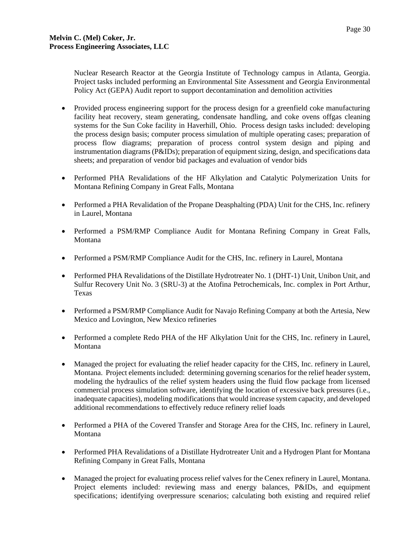Nuclear Research Reactor at the Georgia Institute of Technology campus in Atlanta, Georgia. Project tasks included performing an Environmental Site Assessment and Georgia Environmental Policy Act (GEPA) Audit report to support decontamination and demolition activities

- Provided process engineering support for the process design for a greenfield coke manufacturing facility heat recovery, steam generating, condensate handling, and coke ovens offgas cleaning systems for the Sun Coke facility in Haverhill, Ohio. Process design tasks included: developing the process design basis; computer process simulation of multiple operating cases; preparation of process flow diagrams; preparation of process control system design and piping and instrumentation diagrams (P&IDs); preparation of equipment sizing, design, and specifications data sheets; and preparation of vendor bid packages and evaluation of vendor bids
- Performed PHA Revalidations of the HF Alkylation and Catalytic Polymerization Units for Montana Refining Company in Great Falls, Montana
- Performed a PHA Revalidation of the Propane Deasphalting (PDA) Unit for the CHS, Inc. refinery in Laurel, Montana
- Performed a PSM/RMP Compliance Audit for Montana Refining Company in Great Falls, Montana
- Performed a PSM/RMP Compliance Audit for the CHS, Inc. refinery in Laurel, Montana
- Performed PHA Revalidations of the Distillate Hydrotreater No. 1 (DHT-1) Unit, Unibon Unit, and Sulfur Recovery Unit No. 3 (SRU-3) at the Atofina Petrochemicals, Inc. complex in Port Arthur, Texas
- Performed a PSM/RMP Compliance Audit for Navajo Refining Company at both the Artesia, New Mexico and Lovington, New Mexico refineries
- Performed a complete Redo PHA of the HF Alkylation Unit for the CHS, Inc. refinery in Laurel, Montana
- Managed the project for evaluating the relief header capacity for the CHS, Inc. refinery in Laurel, Montana. Project elements included: determining governing scenarios for the relief header system, modeling the hydraulics of the relief system headers using the fluid flow package from licensed commercial process simulation software, identifying the location of excessive back pressures (i.e., inadequate capacities), modeling modifications that would increase system capacity, and developed additional recommendations to effectively reduce refinery relief loads
- Performed a PHA of the Covered Transfer and Storage Area for the CHS, Inc. refinery in Laurel, Montana
- Performed PHA Revalidations of a Distillate Hydrotreater Unit and a Hydrogen Plant for Montana Refining Company in Great Falls, Montana
- Managed the project for evaluating process relief valves for the Cenex refinery in Laurel, Montana. Project elements included: reviewing mass and energy balances, P&IDs, and equipment specifications; identifying overpressure scenarios; calculating both existing and required relief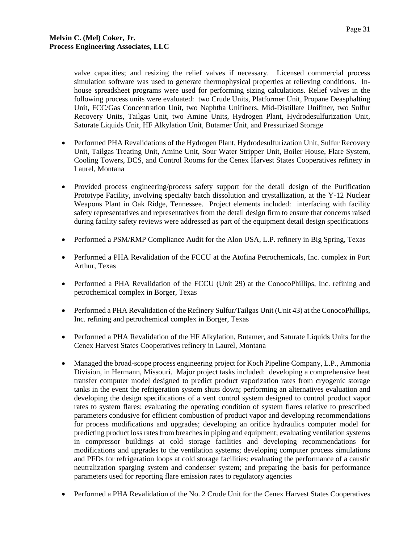valve capacities; and resizing the relief valves if necessary. Licensed commercial process simulation software was used to generate thermophysical properties at relieving conditions. Inhouse spreadsheet programs were used for performing sizing calculations. Relief valves in the following process units were evaluated: two Crude Units, Platformer Unit, Propane Deasphalting Unit, FCC/Gas Concentration Unit, two Naphtha Unifiners, Mid-Distillate Unifiner, two Sulfur Recovery Units, Tailgas Unit, two Amine Units, Hydrogen Plant, Hydrodesulfurization Unit, Saturate Liquids Unit, HF Alkylation Unit, Butamer Unit, and Pressurized Storage

- Performed PHA Revalidations of the Hydrogen Plant, Hydrodesulfurization Unit, Sulfur Recovery Unit, Tailgas Treating Unit, Amine Unit, Sour Water Stripper Unit, Boiler House, Flare System, Cooling Towers, DCS, and Control Rooms for the Cenex Harvest States Cooperatives refinery in Laurel, Montana
- Provided process engineering/process safety support for the detail design of the Purification Prototype Facility, involving specialty batch dissolution and crystallization, at the Y-12 Nuclear Weapons Plant in Oak Ridge, Tennessee. Project elements included: interfacing with facility safety representatives and representatives from the detail design firm to ensure that concerns raised during facility safety reviews were addressed as part of the equipment detail design specifications
- Performed a PSM/RMP Compliance Audit for the Alon USA, L.P. refinery in Big Spring, Texas
- Performed a PHA Revalidation of the FCCU at the Atofina Petrochemicals, Inc. complex in Port Arthur, Texas
- Performed a PHA Revalidation of the FCCU (Unit 29) at the ConocoPhillips, Inc. refining and petrochemical complex in Borger, Texas
- Performed a PHA Revalidation of the Refinery Sulfur/Tailgas Unit (Unit 43) at the ConocoPhillips, Inc. refining and petrochemical complex in Borger, Texas
- Performed a PHA Revalidation of the HF Alkylation, Butamer, and Saturate Liquids Units for the Cenex Harvest States Cooperatives refinery in Laurel, Montana
- Managed the broad-scope process engineering project for Koch Pipeline Company, L.P., Ammonia Division, in Hermann, Missouri. Major project tasks included: developing a comprehensive heat transfer computer model designed to predict product vaporization rates from cryogenic storage tanks in the event the refrigeration system shuts down; performing an alternatives evaluation and developing the design specifications of a vent control system designed to control product vapor rates to system flares; evaluating the operating condition of system flares relative to prescribed parameters condusive for efficient combustion of product vapor and developing recommendations for process modifications and upgrades; developing an orifice hydraulics computer model for predicting product loss rates from breaches in piping and equipment; evaluating ventilation systems in compressor buildings at cold storage facilities and developing recommendations for modifications and upgrades to the ventilation systems; developing computer process simulations and PFDs for refrigeration loops at cold storage facilities; evaluating the performance of a caustic neutralization sparging system and condenser system; and preparing the basis for performance parameters used for reporting flare emission rates to regulatory agencies
- Performed a PHA Revalidation of the No. 2 Crude Unit for the Cenex Harvest States Cooperatives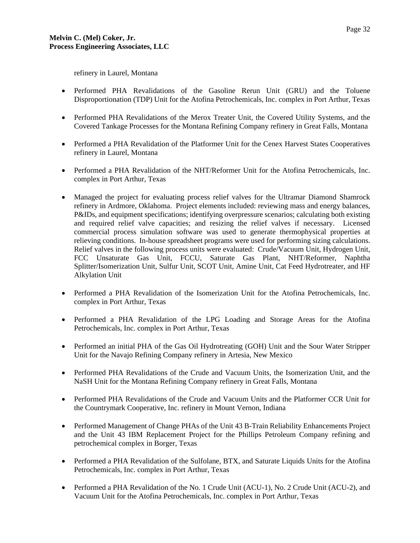refinery in Laurel, Montana

- Performed PHA Revalidations of the Gasoline Rerun Unit (GRU) and the Toluene Disproportionation (TDP) Unit for the Atofina Petrochemicals, Inc. complex in Port Arthur, Texas
- Performed PHA Revalidations of the Merox Treater Unit, the Covered Utility Systems, and the Covered Tankage Processes for the Montana Refining Company refinery in Great Falls, Montana
- Performed a PHA Revalidation of the Platformer Unit for the Cenex Harvest States Cooperatives refinery in Laurel, Montana
- Performed a PHA Revalidation of the NHT/Reformer Unit for the Atofina Petrochemicals, Inc. complex in Port Arthur, Texas
- Managed the project for evaluating process relief valves for the Ultramar Diamond Shamrock refinery in Ardmore, Oklahoma. Project elements included: reviewing mass and energy balances, P&IDs, and equipment specifications; identifying overpressure scenarios; calculating both existing and required relief valve capacities; and resizing the relief valves if necessary. Licensed commercial process simulation software was used to generate thermophysical properties at relieving conditions. In-house spreadsheet programs were used for performing sizing calculations. Relief valves in the following process units were evaluated: Crude/Vacuum Unit, Hydrogen Unit, FCC Unsaturate Gas Unit, FCCU, Saturate Gas Plant, NHT/Reformer, Naphtha Splitter/Isomerization Unit, Sulfur Unit, SCOT Unit, Amine Unit, Cat Feed Hydrotreater, and HF Alkylation Unit
- Performed a PHA Revalidation of the Isomerization Unit for the Atofina Petrochemicals, Inc. complex in Port Arthur, Texas
- Performed a PHA Revalidation of the LPG Loading and Storage Areas for the Atofina Petrochemicals, Inc. complex in Port Arthur, Texas
- Performed an initial PHA of the Gas Oil Hydrotreating (GOH) Unit and the Sour Water Stripper Unit for the Navajo Refining Company refinery in Artesia, New Mexico
- Performed PHA Revalidations of the Crude and Vacuum Units, the Isomerization Unit, and the NaSH Unit for the Montana Refining Company refinery in Great Falls, Montana
- Performed PHA Revalidations of the Crude and Vacuum Units and the Platformer CCR Unit for the Countrymark Cooperative, Inc. refinery in Mount Vernon, Indiana
- Performed Management of Change PHAs of the Unit 43 B-Train Reliability Enhancements Project and the Unit 43 IBM Replacement Project for the Phillips Petroleum Company refining and petrochemical complex in Borger, Texas
- Performed a PHA Revalidation of the Sulfolane, BTX, and Saturate Liquids Units for the Atofina Petrochemicals, Inc. complex in Port Arthur, Texas
- Performed a PHA Revalidation of the No. 1 Crude Unit (ACU-1), No. 2 Crude Unit (ACU-2), and Vacuum Unit for the Atofina Petrochemicals, Inc. complex in Port Arthur, Texas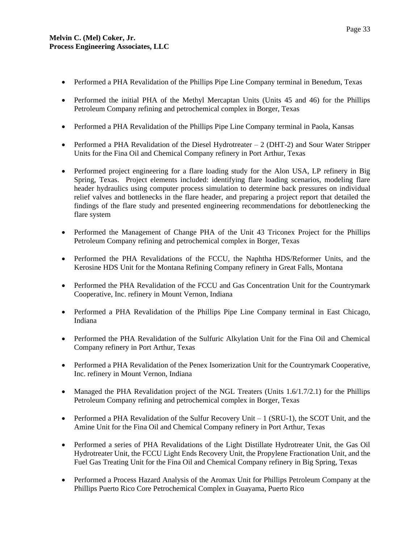- Performed a PHA Revalidation of the Phillips Pipe Line Company terminal in Benedum, Texas
- Performed the initial PHA of the Methyl Mercaptan Units (Units 45 and 46) for the Phillips Petroleum Company refining and petrochemical complex in Borger, Texas
- Performed a PHA Revalidation of the Phillips Pipe Line Company terminal in Paola, Kansas
- Performed a PHA Revalidation of the Diesel Hydrotreater  $-2$  (DHT-2) and Sour Water Stripper Units for the Fina Oil and Chemical Company refinery in Port Arthur, Texas
- Performed project engineering for a flare loading study for the Alon USA, LP refinery in Big Spring, Texas. Project elements included: identifying flare loading scenarios, modeling flare header hydraulics using computer process simulation to determine back pressures on individual relief valves and bottlenecks in the flare header, and preparing a project report that detailed the findings of the flare study and presented engineering recommendations for debottlenecking the flare system
- Performed the Management of Change PHA of the Unit 43 Triconex Project for the Phillips Petroleum Company refining and petrochemical complex in Borger, Texas
- Performed the PHA Revalidations of the FCCU, the Naphtha HDS/Reformer Units, and the Kerosine HDS Unit for the Montana Refining Company refinery in Great Falls, Montana
- Performed the PHA Revalidation of the FCCU and Gas Concentration Unit for the Countrymark Cooperative, Inc. refinery in Mount Vernon, Indiana
- Performed a PHA Revalidation of the Phillips Pipe Line Company terminal in East Chicago, Indiana
- Performed the PHA Revalidation of the Sulfuric Alkylation Unit for the Fina Oil and Chemical Company refinery in Port Arthur, Texas
- Performed a PHA Revalidation of the Penex Isomerization Unit for the Countrymark Cooperative, Inc. refinery in Mount Vernon, Indiana
- Managed the PHA Revalidation project of the NGL Treaters (Units 1.6/1.7/2.1) for the Phillips Petroleum Company refining and petrochemical complex in Borger, Texas
- Performed a PHA Revalidation of the Sulfur Recovery Unit  $-1$  (SRU-1), the SCOT Unit, and the Amine Unit for the Fina Oil and Chemical Company refinery in Port Arthur, Texas
- Performed a series of PHA Revalidations of the Light Distillate Hydrotreater Unit, the Gas Oil Hydrotreater Unit, the FCCU Light Ends Recovery Unit, the Propylene Fractionation Unit, and the Fuel Gas Treating Unit for the Fina Oil and Chemical Company refinery in Big Spring, Texas
- Performed a Process Hazard Analysis of the Aromax Unit for Phillips Petroleum Company at the Phillips Puerto Rico Core Petrochemical Complex in Guayama, Puerto Rico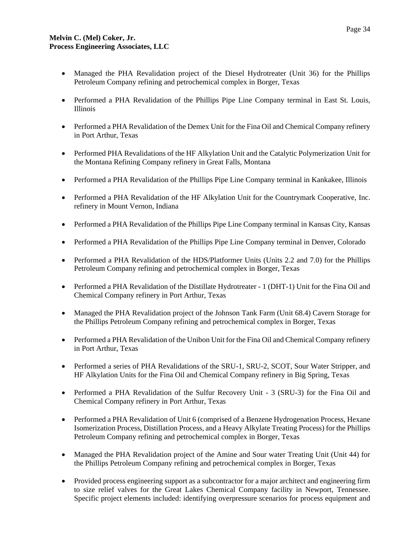- Managed the PHA Revalidation project of the Diesel Hydrotreater (Unit 36) for the Phillips Petroleum Company refining and petrochemical complex in Borger, Texas
- Performed a PHA Revalidation of the Phillips Pipe Line Company terminal in East St. Louis, Illinois
- Performed a PHA Revalidation of the Demex Unit for the Fina Oil and Chemical Company refinery in Port Arthur, Texas
- Performed PHA Revalidations of the HF Alkylation Unit and the Catalytic Polymerization Unit for the Montana Refining Company refinery in Great Falls, Montana
- Performed a PHA Revalidation of the Phillips Pipe Line Company terminal in Kankakee, Illinois
- Performed a PHA Revalidation of the HF Alkylation Unit for the Countrymark Cooperative, Inc. refinery in Mount Vernon, Indiana
- Performed a PHA Revalidation of the Phillips Pipe Line Company terminal in Kansas City, Kansas
- Performed a PHA Revalidation of the Phillips Pipe Line Company terminal in Denver, Colorado
- Performed a PHA Revalidation of the HDS/Platformer Units (Units 2.2 and 7.0) for the Phillips Petroleum Company refining and petrochemical complex in Borger, Texas
- Performed a PHA Revalidation of the Distillate Hydrotreater 1 (DHT-1) Unit for the Fina Oil and Chemical Company refinery in Port Arthur, Texas
- Managed the PHA Revalidation project of the Johnson Tank Farm (Unit 68.4) Cavern Storage for the Phillips Petroleum Company refining and petrochemical complex in Borger, Texas
- Performed a PHA Revalidation of the Unibon Unit for the Fina Oil and Chemical Company refinery in Port Arthur, Texas
- Performed a series of PHA Revalidations of the SRU-1, SRU-2, SCOT, Sour Water Stripper, and HF Alkylation Units for the Fina Oil and Chemical Company refinery in Big Spring, Texas
- Performed a PHA Revalidation of the Sulfur Recovery Unit 3 (SRU-3) for the Fina Oil and Chemical Company refinery in Port Arthur, Texas
- Performed a PHA Revalidation of Unit 6 (comprised of a Benzene Hydrogenation Process, Hexane Isomerization Process, Distillation Process, and a Heavy Alkylate Treating Process) for the Phillips Petroleum Company refining and petrochemical complex in Borger, Texas
- Managed the PHA Revalidation project of the Amine and Sour water Treating Unit (Unit 44) for the Phillips Petroleum Company refining and petrochemical complex in Borger, Texas
- Provided process engineering support as a subcontractor for a major architect and engineering firm to size relief valves for the Great Lakes Chemical Company facility in Newport, Tennessee. Specific project elements included: identifying overpressure scenarios for process equipment and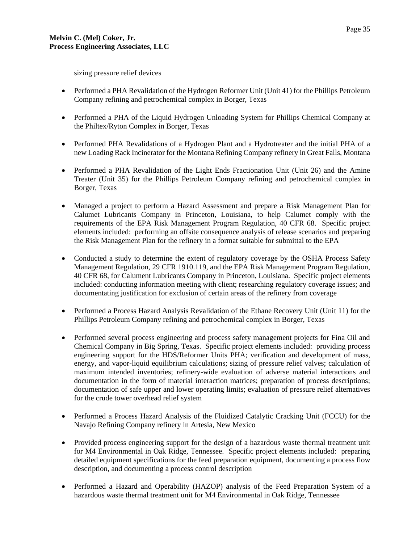sizing pressure relief devices

- Performed a PHA Revalidation of the Hydrogen Reformer Unit (Unit 41) for the Phillips Petroleum Company refining and petrochemical complex in Borger, Texas
- Performed a PHA of the Liquid Hydrogen Unloading System for Phillips Chemical Company at the Philtex/Ryton Complex in Borger, Texas
- Performed PHA Revalidations of a Hydrogen Plant and a Hydrotreater and the initial PHA of a new Loading Rack Incinerator for the Montana Refining Company refinery in Great Falls, Montana
- Performed a PHA Revalidation of the Light Ends Fractionation Unit (Unit 26) and the Amine Treater (Unit 35) for the Phillips Petroleum Company refining and petrochemical complex in Borger, Texas
- Managed a project to perform a Hazard Assessment and prepare a Risk Management Plan for Calumet Lubricants Company in Princeton, Louisiana, to help Calumet comply with the requirements of the EPA Risk Management Program Regulation, 40 CFR 68. Specific project elements included: performing an offsite consequence analysis of release scenarios and preparing the Risk Management Plan for the refinery in a format suitable for submittal to the EPA
- Conducted a study to determine the extent of regulatory coverage by the OSHA Process Safety Management Regulation, 29 CFR 1910.119, and the EPA Risk Management Program Regulation, 40 CFR 68, for Calument Lubricants Company in Princeton, Louisiana. Specific project elements included: conducting information meeting with client; researching regulatory coverage issues; and documentating justification for exclusion of certain areas of the refinery from coverage
- Performed a Process Hazard Analysis Revalidation of the Ethane Recovery Unit (Unit 11) for the Phillips Petroleum Company refining and petrochemical complex in Borger, Texas
- Performed several process engineering and process safety management projects for Fina Oil and Chemical Company in Big Spring, Texas. Specific project elements included: providing process engineering support for the HDS/Reformer Units PHA; verification and development of mass, energy, and vapor-liquid equilibrium calculations; sizing of pressure relief valves; calculation of maximum intended inventories; refinery-wide evaluation of adverse material interactions and documentation in the form of material interaction matrices; preparation of process descriptions; documentation of safe upper and lower operating limits; evaluation of pressure relief alternatives for the crude tower overhead relief system
- Performed a Process Hazard Analysis of the Fluidized Catalytic Cracking Unit (FCCU) for the Navajo Refining Company refinery in Artesia, New Mexico
- Provided process engineering support for the design of a hazardous waste thermal treatment unit for M4 Environmental in Oak Ridge, Tennessee. Specific project elements included: preparing detailed equipment specifications for the feed preparation equipment, documenting a process flow description, and documenting a process control description
- Performed a Hazard and Operability (HAZOP) analysis of the Feed Preparation System of a hazardous waste thermal treatment unit for M4 Environmental in Oak Ridge, Tennessee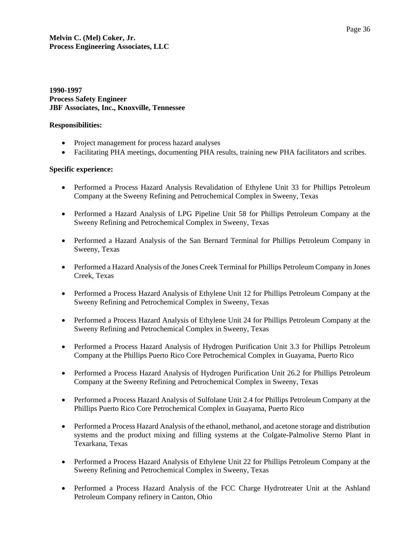## **1990-1997 Process Safety Engineer JBF Associates, Inc., Knoxville, Tennessee**

#### **Responsibilities:**

- Project management for process hazard analyses
- Facilitating PHA meetings, documenting PHA results, training new PHA facilitators and scribes.

### **Specific experience:**

- Performed a Process Hazard Analysis Revalidation of Ethylene Unit 33 for Phillips Petroleum Company at the Sweeny Refining and Petrochemical Complex in Sweeny, Texas
- Performed a Hazard Analysis of LPG Pipeline Unit 58 for Phillips Petroleum Company at the Sweeny Refining and Petrochemical Complex in Sweeny, Texas
- Performed a Hazard Analysis of the San Bernard Terminal for Phillips Petroleum Company in Sweeny, Texas
- Performed a Hazard Analysis of the Jones Creek Terminal for Phillips Petroleum Company in Jones Creek, Texas
- Performed a Process Hazard Analysis of Ethylene Unit 12 for Phillips Petroleum Company at the Sweeny Refining and Petrochemical Complex in Sweeny, Texas
- Performed a Process Hazard Analysis of Ethylene Unit 24 for Phillips Petroleum Company at the Sweeny Refining and Petrochemical Complex in Sweeny, Texas
- Performed a Process Hazard Analysis of Hydrogen Purification Unit 3.3 for Phillips Petroleum Company at the Phillips Puerto Rico Core Petrochemical Complex in Guayama, Puerto Rico
- Performed a Process Hazard Analysis of Hydrogen Purification Unit 26.2 for Phillips Petroleum Company at the Sweeny Refining and Petrochemical Complex in Sweeny, Texas
- Performed a Process Hazard Analysis of Sulfolane Unit 2.4 for Phillips Petroleum Company at the Phillips Puerto Rico Core Petrochemical Complex in Guayama, Puerto Rico
- Performed a Process Hazard Analysis of the ethanol, methanol, and acetone storage and distribution systems and the product mixing and filling systems at the Colgate-Palmolive Sterno Plant in Texarkana, Texas
- Performed a Process Hazard Analysis of Ethylene Unit 22 for Phillips Petroleum Company at the Sweeny Refining and Petrochemical Complex in Sweeny, Texas
- Performed a Process Hazard Analysis of the FCC Charge Hydrotreater Unit at the Ashland Petroleum Company refinery in Canton, Ohio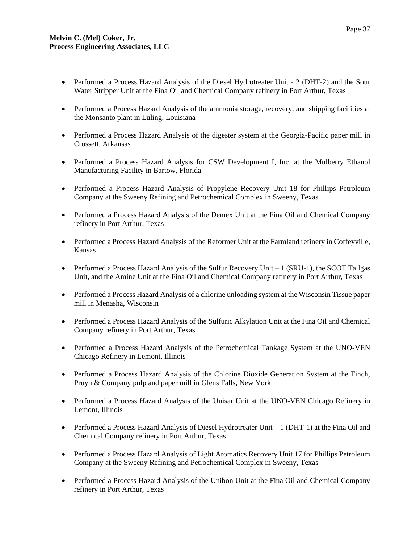- Performed a Process Hazard Analysis of the Diesel Hydrotreater Unit 2 (DHT-2) and the Sour Water Stripper Unit at the Fina Oil and Chemical Company refinery in Port Arthur, Texas
- Performed a Process Hazard Analysis of the ammonia storage, recovery, and shipping facilities at the Monsanto plant in Luling, Louisiana
- Performed a Process Hazard Analysis of the digester system at the Georgia-Pacific paper mill in Crossett, Arkansas
- Performed a Process Hazard Analysis for CSW Development I, Inc. at the Mulberry Ethanol Manufacturing Facility in Bartow, Florida
- Performed a Process Hazard Analysis of Propylene Recovery Unit 18 for Phillips Petroleum Company at the Sweeny Refining and Petrochemical Complex in Sweeny, Texas
- Performed a Process Hazard Analysis of the Demex Unit at the Fina Oil and Chemical Company refinery in Port Arthur, Texas
- Performed a Process Hazard Analysis of the Reformer Unit at the Farmland refinery in Coffeyville, Kansas
- Performed a Process Hazard Analysis of the Sulfur Recovery Unit  $-1$  (SRU-1), the SCOT Tailgas Unit, and the Amine Unit at the Fina Oil and Chemical Company refinery in Port Arthur, Texas
- Performed a Process Hazard Analysis of a chlorine unloading system at the Wisconsin Tissue paper mill in Menasha, Wisconsin
- Performed a Process Hazard Analysis of the Sulfuric Alkylation Unit at the Fina Oil and Chemical Company refinery in Port Arthur, Texas
- Performed a Process Hazard Analysis of the Petrochemical Tankage System at the UNO-VEN Chicago Refinery in Lemont, Illinois
- Performed a Process Hazard Analysis of the Chlorine Dioxide Generation System at the Finch, Pruyn & Company pulp and paper mill in Glens Falls, New York
- Performed a Process Hazard Analysis of the Unisar Unit at the UNO-VEN Chicago Refinery in Lemont, Illinois
- Performed a Process Hazard Analysis of Diesel Hydrotreater Unit  $-1$  (DHT-1) at the Fina Oil and Chemical Company refinery in Port Arthur, Texas
- Performed a Process Hazard Analysis of Light Aromatics Recovery Unit 17 for Phillips Petroleum Company at the Sweeny Refining and Petrochemical Complex in Sweeny, Texas
- Performed a Process Hazard Analysis of the Unibon Unit at the Fina Oil and Chemical Company refinery in Port Arthur, Texas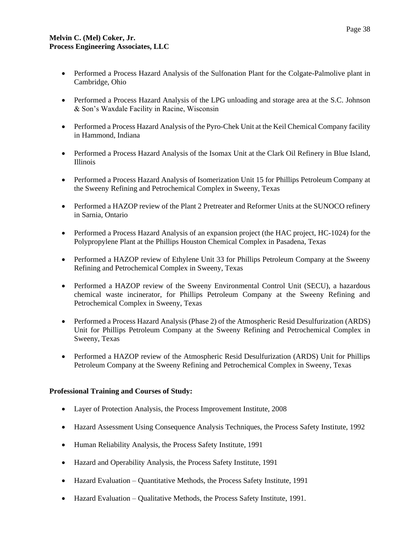- Performed a Process Hazard Analysis of the Sulfonation Plant for the Colgate-Palmolive plant in Cambridge, Ohio
- Performed a Process Hazard Analysis of the LPG unloading and storage area at the S.C. Johnson & Son's Waxdale Facility in Racine, Wisconsin
- Performed a Process Hazard Analysis of the Pyro-Chek Unit at the Keil Chemical Company facility in Hammond, Indiana
- Performed a Process Hazard Analysis of the Isomax Unit at the Clark Oil Refinery in Blue Island, Illinois
- Performed a Process Hazard Analysis of Isomerization Unit 15 for Phillips Petroleum Company at the Sweeny Refining and Petrochemical Complex in Sweeny, Texas
- Performed a HAZOP review of the Plant 2 Pretreater and Reformer Units at the SUNOCO refinery in Sarnia, Ontario
- Performed a Process Hazard Analysis of an expansion project (the HAC project, HC-1024) for the Polypropylene Plant at the Phillips Houston Chemical Complex in Pasadena, Texas
- Performed a HAZOP review of Ethylene Unit 33 for Phillips Petroleum Company at the Sweeny Refining and Petrochemical Complex in Sweeny, Texas
- Performed a HAZOP review of the Sweeny Environmental Control Unit (SECU), a hazardous chemical waste incinerator, for Phillips Petroleum Company at the Sweeny Refining and Petrochemical Complex in Sweeny, Texas
- Performed a Process Hazard Analysis (Phase 2) of the Atmospheric Resid Desulfurization (ARDS) Unit for Phillips Petroleum Company at the Sweeny Refining and Petrochemical Complex in Sweeny, Texas
- Performed a HAZOP review of the Atmospheric Resid Desulfurization (ARDS) Unit for Phillips Petroleum Company at the Sweeny Refining and Petrochemical Complex in Sweeny, Texas

### **Professional Training and Courses of Study:**

- Layer of Protection Analysis, the Process Improvement Institute, 2008
- Hazard Assessment Using Consequence Analysis Techniques, the Process Safety Institute, 1992
- Human Reliability Analysis, the Process Safety Institute, 1991
- Hazard and Operability Analysis, the Process Safety Institute, 1991
- Hazard Evaluation Quantitative Methods, the Process Safety Institute, 1991
- Hazard Evaluation Qualitative Methods, the Process Safety Institute, 1991.